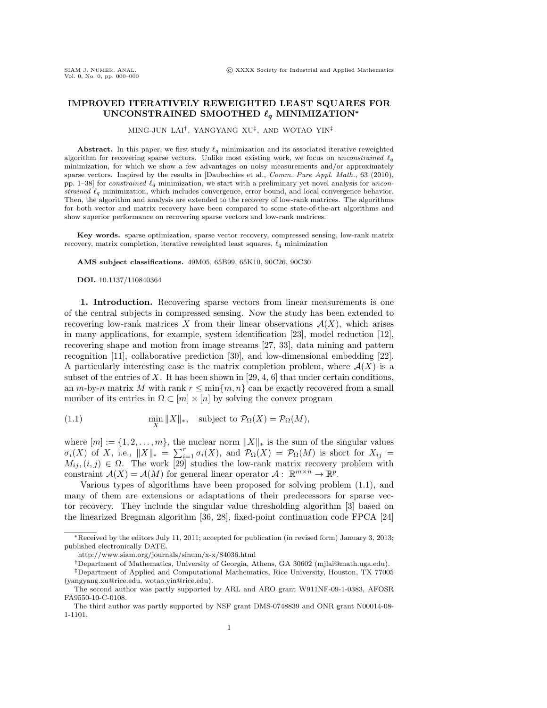## **IMPROVED ITERATIVELY REWEIGHTED LEAST SQUARES FOR**  $UNCONSTRAINED SMOOTHED  $\ell_q$  MINIMIZATION*$

MING-JUN LAI†, YANGYANG XU‡, AND WOTAO YIN‡

Abstract. In this paper, we first study  $\ell_q$  minimization and its associated iterative reweighted algorithm for recovering sparse vectors. Unlike most existing work, we focus on *unconstrained*  $\ell_q$ minimization, for which we show a few advantages on noisy measurements and/or approximately sparse vectors. Inspired by the results in [Daubechies et al., *Comm. Pure Appl. Math.*, 63 (2010), pp. 1–38] for *constrained*  $\ell_q$  minimization, we start with a preliminary yet novel analysis for *uncon*strained  $\ell_q$  minimization, which includes convergence, error bound, and local convergence behavior. Then, the algorithm and analysis are extended to the recovery of low-rank matrices. The algorithms for both vector and matrix recovery have been compared to some state-of-the-art algorithms and show superior performance on recovering sparse vectors and low-rank matrices.

**Key words.** sparse optimization, sparse vector recovery, compressed sensing, low-rank matrix recovery, matrix completion, iterative reweighted least squares,  $\ell_q$  minimization

**AMS subject classifications.** 49M05, 65B99, 65K10, 90C26, 90C30

**DOI.** 10.1137/110840364

**1. Introduction.** Recovering sparse vectors from linear measurements is one of the central subjects in compressed sensing. Now the study has been extended to recovering low-rank matrices X from their linear observations  $A(X)$ , which arises in many applications, for example, system identification [23], model reduction [12], recovering shape and motion from image streams [27, 33], data mining and pattern recognition [11], collaborative prediction [30], and low-dimensional embedding [22]. A particularly interesting case is the matrix completion problem, where  $\mathcal{A}(X)$  is a subset of the entries of X. It has been shown in [29, 4, 6] that under certain conditions, an m-by-n matrix M with rank  $r \leq \min\{m, n\}$  can be exactly recovered from a small number of its entries in  $\Omega \subset [m] \times [n]$  by solving the convex program

(1.1) 
$$
\min_{X} \|X\|_{*}, \text{ subject to } \mathcal{P}_{\Omega}(X) = \mathcal{P}_{\Omega}(M),
$$

where  $[m] := \{1, 2, \ldots, m\}$ , the nuclear norm  $||X||_*$  is the sum of the singular values  $\sigma_i(X)$  of X, i.e.,  $||X||_* = \sum_{i=1}^r \sigma_i(X)$ , and  $\mathcal{P}_{\Omega}(X) = \mathcal{P}_{\Omega}(M)$  is short for  $X_{ij} =$  $M_{ij}$ ,  $(i, j) \in \Omega$ . The work [29] studies the low-rank matrix recovery problem with constraint  $\mathcal{A}(X) = \mathcal{A}(M)$  for general linear operator  $\mathcal{A}: \mathbb{R}^{m \times n} \to \mathbb{R}^p$ .

Various types of algorithms have been proposed for solving problem (1.1), and many of them are extensions or adaptations of their predecessors for sparse vector recovery. They include the singular value thresholding algorithm [3] based on the linearized Bregman algorithm [36, 28], fixed-point continuation code FPCA [24]

<sup>∗</sup>Received by the editors July 11, 2011; accepted for publication (in revised form) January 3, 2013; published electronically DATE.

http://www.siam.org/journals/sinum/x-x/84036.html

<sup>†</sup>Department of Mathematics, University of Georgia, Athens, GA 30602 (mjlai@math.uga.edu).

<sup>‡</sup>Department of Applied and Computational Mathematics, Rice University, Houston, TX 77005 (yangyang.xu@rice.edu, wotao.yin@rice.edu).

The second author was partly supported by ARL and ARO grant W911NF-09-1-0383, AFOSR FA9550-10-C-0108.

The third author was partly supported by NSF grant DMS-0748839 and ONR grant N00014-08- 1-1101.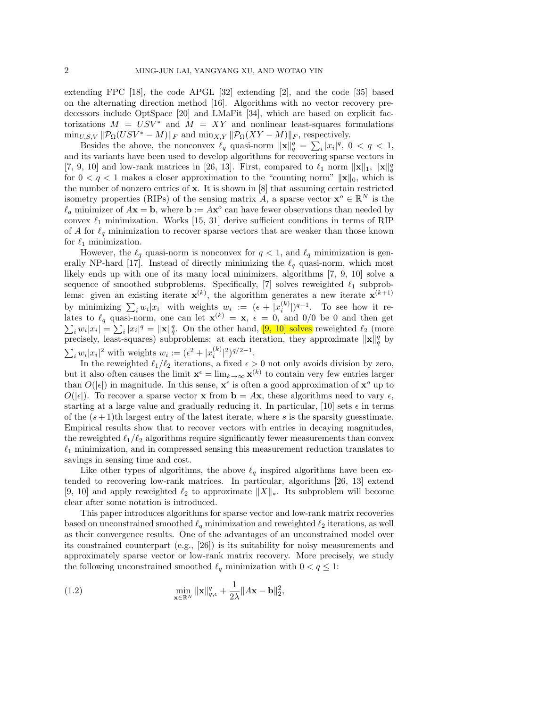extending FPC [18], the code APGL [32] extending [2], and the code [35] based on the alternating direction method [16]. Algorithms with no vector recovery predecessors include OptSpace [20] and LMaFit [34], which are based on explicit factorizations  $M = USV^*$  and  $M = XY$  and nonlinear least-squares formulations  $\min_{U, S, V} \|\mathcal{P}_{\Omega}(USV^* - M)\|_F$  and  $\min_{X, Y} \|\mathcal{P}_{\Omega}(XY - M)\|_F$ , respectively.

Besides the above, the nonconvex  $\ell_q$  quasi-norm  $\|\mathbf{x}\|_q^q = \sum_i |x_i|^q$ ,  $0 < q < 1$ , and its variants have been used to develop algorithms for recovering sparse vectors in [7, 9, 10] and low-rank matrices in [26, 13]. First, compared to  $\ell_1$  norm  $\|\mathbf{x}\|_1$ ,  $\|\mathbf{x}\|_q^q$ for  $0 < q < 1$  makes a closer approximation to the "counting norm"  $\|\mathbf{x}\|_0$ , which is the number of nonzero entries of **x**. It is shown in [8] that assuming certain restricted isometry properties (RIPs) of the sensing matrix A, a sparse vector **x**<sup> $o \in \mathbb{R}^{N}$  is the</sup>  $\ell_q$  minimizer of  $A$ **x** = **b**, where **b** :=  $A$ **x**<sup>o</sup> can have fewer observations than needed by convex  $\ell_1$  minimization. Works [15, 31] derive sufficient conditions in terms of RIP of A for  $\ell_q$  minimization to recover sparse vectors that are weaker than those known for  $\ell_1$  minimization.

However, the  $\ell_q$  quasi-norm is nonconvex for  $q < 1$ , and  $\ell_q$  minimization is generally NP-hard [17]. Instead of directly minimizing the  $\ell_q$  quasi-norm, which most likely ends up with one of its many local minimizers, algorithms [7, 9, 10] solve a sequence of smoothed subproblems. Specifically, [7] solves reweighted  $\ell_1$  subproblems: given an existing iterate  $\mathbf{x}^{(k)}$ , the algorithm generates a new iterate  $\mathbf{x}^{(k+1)}$ by minimizing  $\sum_i w_i |x_i|$  with weights  $w_i := (\epsilon + |x_i^{(k)}|)^{q-1}$ . To see how it relates to  $\ell_q$  quasi-norm, one can let  $\mathbf{x}^{(k)} = \mathbf{x}$ ,  $\epsilon = 0$ , and 0/0 be 0 and then get  $\sum_i w_i |x_i| = \sum_i |x_i|^q = ||\mathbf{x}||_q^q$ . On the other hand, [9, 10] solves reweighted  $\ell_2$  (more precisely, least-squares) subproblems: at each iteration, they approximate  $\|\mathbf{x}\|_q^q$  by  $\sum_i w_i |x_i|^2$  with weights  $w_i := (\epsilon^2 + |x_i^{(k)}|^2)^{q/2-1}.$ 

In the reweighted  $\ell_1/\ell_2$  iterations, a fixed  $\epsilon > 0$  not only avoids division by zero, but it also often causes the limit  $\mathbf{x}^{\epsilon} = \lim_{k \to \infty} \mathbf{x}^{(k)}$  to contain very few entries larger than  $O(|\epsilon|)$  in magnitude. In this sense,  $\mathbf{x}^{\epsilon}$  is often a good approximation of  $\mathbf{x}^{\circ}$  up to  $O(|\epsilon|)$ . To recover a sparse vector **x** from  $\mathbf{b} = A\mathbf{x}$ , these algorithms need to vary  $\epsilon$ , starting at a large value and gradually reducing it. In particular, [10] sets  $\epsilon$  in terms of the  $(s + 1)$ th largest entry of the latest iterate, where s is the sparsity guesstimate. Empirical results show that to recover vectors with entries in decaying magnitudes, the reweighted  $\ell_1/\ell_2$  algorithms require significantly fewer measurements than convex  $\ell_1$  minimization, and in compressed sensing this measurement reduction translates to savings in sensing time and cost.

Like other types of algorithms, the above  $\ell_q$  inspired algorithms have been extended to recovering low-rank matrices. In particular, algorithms [26, 13] extend [9, 10] and apply reweighted  $\ell_2$  to approximate  $||X||_*$ . Its subproblem will become clear after some notation is introduced.

This paper introduces algorithms for sparse vector and low-rank matrix recoveries based on unconstrained smoothed  $\ell_q$  minimization and reweighted  $\ell_2$  iterations, as well as their convergence results. One of the advantages of an unconstrained model over its constrained counterpart (e.g., [26]) is its suitability for noisy measurements and approximately sparse vector or low-rank matrix recovery. More precisely, we study the following unconstrained smoothed  $\ell_q$  minimization with  $0 < q \leq 1$ :

(1.2) 
$$
\min_{\mathbf{x}\in\mathbb{R}^N} \|\mathbf{x}\|_{q,\epsilon}^q + \frac{1}{2\lambda} \|A\mathbf{x} - \mathbf{b}\|_2^2,
$$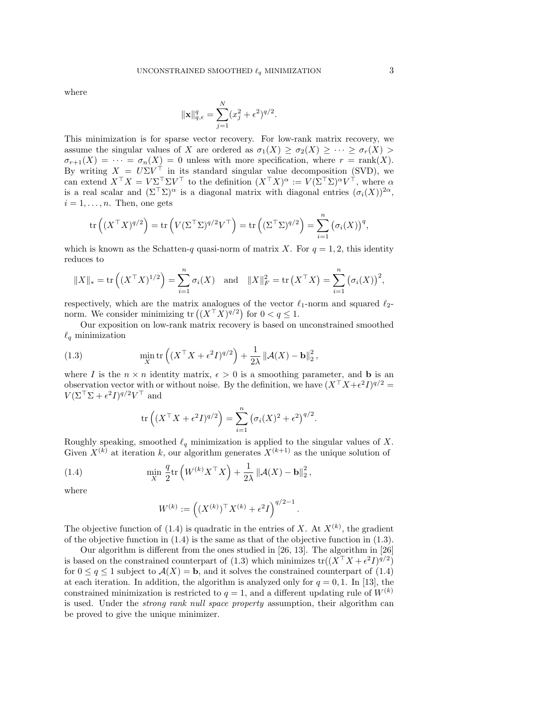where

$$
\|\mathbf{x}\|_{q,\epsilon}^q = \sum_{j=1}^N (x_j^2 + \epsilon^2)^{q/2}.
$$

This minimization is for sparse vector recovery. For low-rank matrix recovery, we assume the singular values of X are ordered as  $\sigma_1(X) \geq \sigma_2(X) \geq \cdots \geq \sigma_r(X)$  $\sigma_{r+1}(X) = \cdots = \sigma_n(X) = 0$  unless with more specification, where  $r = \text{rank}(X)$ . By writing  $X = U\Sigma V^{\top}$  in its standard singular value decomposition (SVD), we can extend  $X^{\top} X = V \Sigma^{\top} \Sigma V^{\top}$  to the definition  $(X^{\top} X)^{\alpha} := V (\Sigma^{\top} \Sigma)^{\alpha} V^{\top}$ , where  $\alpha$ is a real scalar and  $(\Sigma^{\top} \Sigma)^{\alpha}$  is a diagonal matrix with diagonal entries  $(\sigma_i(X))^{2\alpha}$ ,  $i = 1, \ldots, n$ . Then, one gets

$$
\operatorname{tr}\left((X^{\top}X)^{q/2}\right) = \operatorname{tr}\left(V(\Sigma^{\top}\Sigma)^{q/2}V^{\top}\right) = \operatorname{tr}\left((\Sigma^{\top}\Sigma)^{q/2}\right) = \sum_{i=1}^{n} \left(\sigma_i(X)\right)^q,
$$

which is known as the Schatten-q quasi-norm of matrix X. For  $q = 1, 2$ , this identity reduces to

$$
||X||_* = \text{tr}((X^\top X)^{1/2}) = \sum_{i=1}^n \sigma_i(X)
$$
 and  $||X||_F^2 = \text{tr}(X^\top X) = \sum_{i=1}^n (\sigma_i(X))^2$ ,

respectively, which are the matrix analogues of the vector  $\ell_1$ -norm and squared  $\ell_2$ norm. We consider minimizing  $\text{tr}\left( (X^{\top} X)^{q/2} \right)$  for  $0 < q \leq 1$ .

Our exposition on low-rank matrix recovery is based on unconstrained smoothed  $\ell_q$  minimization

(1.3) 
$$
\min_{X} \text{tr}\left( (X^{\top} X + \epsilon^2 I)^{q/2} \right) + \frac{1}{2\lambda} ||\mathcal{A}(X) - \mathbf{b}||_2^2,
$$

where I is the  $n \times n$  identity matrix,  $\epsilon > 0$  is a smoothing parameter, and **b** is an observation vector with or without noise. By the definition, we have  $(X^{\top} X + \epsilon^2 I)^{q/2} =$  $V(\Sigma^{\top} \Sigma + \epsilon^2 I)^{q/2} V^{\top}$  and

$$
\operatorname{tr}\left( (X^\top X + \epsilon^2 I)^{q/2} \right) = \sum_{i=1}^n \left( \sigma_i(X)^2 + \epsilon^2 \right)^{q/2}.
$$

Roughly speaking, smoothed  $\ell_q$  minimization is applied to the singular values of X. Given  $X^{(k)}$  at iteration k, our algorithm generates  $X^{(k+1)}$  as the unique solution of

(1.4) 
$$
\min_{X} \frac{q}{2} \text{tr}\left(W^{(k)} X^{\top} X\right) + \frac{1}{2\lambda} \left\|\mathcal{A}(X) - \mathbf{b}\right\|_{2}^{2},
$$

where

$$
W^{(k)} := ((X^{(k)})^\top X^{(k)} + \epsilon^2 I)^{q/2 - 1}.
$$

The objective function of (1.4) is quadratic in the entries of X. At  $X^{(k)}$ , the gradient of the objective function in (1.4) is the same as that of the objective function in (1.3).

Our algorithm is different from the ones studied in [26, 13]. The algorithm in [26] is based on the constrained counterpart of (1.3) which minimizes  $tr((X^{\top} X + \epsilon^2 I)^{q/2})$ for  $0 \leq q \leq 1$  subject to  $\mathcal{A}(X) = \mathbf{b}$ , and it solves the constrained counterpart of (1.4) at each iteration. In addition, the algorithm is analyzed only for  $q = 0, 1$ . In [13], the constrained minimization is restricted to  $q = 1$ , and a different updating rule of  $W^{(k)}$ is used. Under the *strong rank null space property* assumption, their algorithm can be proved to give the unique minimizer.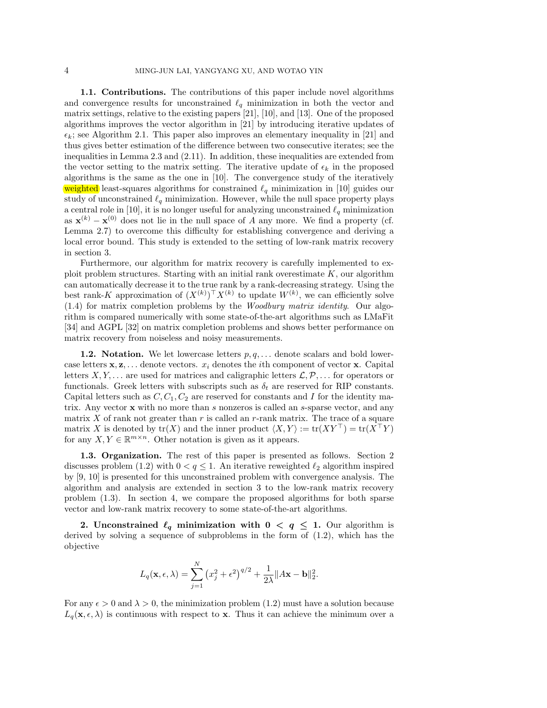**1.1. Contributions.** The contributions of this paper include novel algorithms and convergence results for unconstrained  $\ell_q$  minimization in both the vector and matrix settings, relative to the existing papers [21], [10], and [13]. One of the proposed algorithms improves the vector algorithm in [21] by introducing iterative updates of  $\epsilon_k$ ; see Algorithm 2.1. This paper also improves an elementary inequality in [21] and thus gives better estimation of the difference between two consecutive iterates; see the inequalities in Lemma 2.3 and (2.11). In addition, these inequalities are extended from the vector setting to the matrix setting. The iterative update of  $\epsilon_k$  in the proposed algorithms is the same as the one in [10]. The convergence study of the iteratively weighted least-squares algorithms for constrained  $\ell_q$  minimization in [10] guides our study of unconstrained  $\ell_q$  minimization. However, while the null space property plays a central role in [10], it is no longer useful for analyzing unconstrained  $\ell_q$  minimization as  $\mathbf{x}^{(k)} - \mathbf{x}^{(0)}$  does not lie in the null space of A any more. We find a property (cf. Lemma 2.7) to overcome this difficulty for establishing convergence and deriving a local error bound. This study is extended to the setting of low-rank matrix recovery in section 3.

Furthermore, our algorithm for matrix recovery is carefully implemented to exploit problem structures. Starting with an initial rank overestimate  $K$ , our algorithm can automatically decrease it to the true rank by a rank-decreasing strategy. Using the best rank-K approximation of  $(X^{(k)})^{\top} X^{(k)}$  to update  $W^{(k)}$ , we can efficiently solve (1.4) for matrix completion problems by the *Woodbury matrix identity*. Our algorithm is compared numerically with some state-of-the-art algorithms such as LMaFit [34] and AGPL [32] on matrix completion problems and shows better performance on matrix recovery from noiseless and noisy measurements.

**1.2. Notation.** We let lowercase letters  $p, q, \ldots$  denote scalars and bold lowercase letters  $\mathbf{x}, \mathbf{z}, \ldots$  denote vectors.  $x_i$  denotes the *i*th component of vector **x**. Capital letters  $X, Y, \ldots$  are used for matrices and caligraphic letters  $\mathcal{L}, \mathcal{P}, \ldots$  for operators or functionals. Greek letters with subscripts such as  $\delta_t$  are reserved for RIP constants. Capital letters such as  $C, C_1, C_2$  are reserved for constants and I for the identity matrix. Any vector **x** with no more than s nonzeros is called an s-sparse vector, and any matrix  $X$  of rank not greater than  $r$  is called an  $r$ -rank matrix. The trace of a square matrix X is denoted by  $tr(X)$  and the inner product  $\langle X, Y \rangle := tr(XY^{\top}) = tr(X^{\top}Y)$ for any  $X, Y \in \mathbb{R}^{m \times n}$ . Other notation is given as it appears.

**1.3. Organization.** The rest of this paper is presented as follows. Section 2 discusses problem (1.2) with  $0 < q \leq 1$ . An iterative reweighted  $\ell_2$  algorithm inspired by [9, 10] is presented for this unconstrained problem with convergence analysis. The algorithm and analysis are extended in section 3 to the low-rank matrix recovery problem (1.3). In section 4, we compare the proposed algorithms for both sparse vector and low-rank matrix recovery to some state-of-the-art algorithms.

**2.** Unconstrained  $\ell_q$  minimization with  $0 \leq q \leq 1$ . Our algorithm is derived by solving a sequence of subproblems in the form of (1.2), which has the objective

$$
L_q(\mathbf{x}, \epsilon, \lambda) = \sum_{j=1}^N (x_j^2 + \epsilon^2)^{q/2} + \frac{1}{2\lambda} ||A\mathbf{x} - \mathbf{b}||_2^2.
$$

For any  $\epsilon > 0$  and  $\lambda > 0$ , the minimization problem (1.2) must have a solution because  $L_q(\mathbf{x}, \epsilon, \lambda)$  is continuous with respect to **x**. Thus it can achieve the minimum over a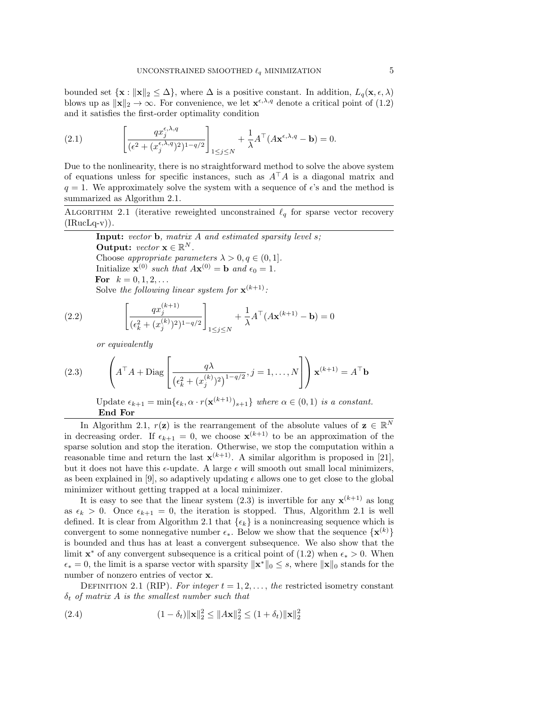bounded set  $\{\mathbf{x}: ||\mathbf{x}||_2 \leq \Delta\}$ , where  $\Delta$  is a positive constant. In addition,  $L_q(\mathbf{x}, \epsilon, \lambda)$ blows up as  $\|\mathbf{x}\|_2 \to \infty$ . For convenience, we let  $\mathbf{x}^{\epsilon,\lambda,q}$  denote a critical point of (1.2) and it satisfies the first-order optimality condition

(2.1) 
$$
\left[\frac{qx_j^{\epsilon,\lambda,q}}{(\epsilon^2 + (x_j^{\epsilon,\lambda,q})^2)^{1-q/2}}\right]_{1 \leq j \leq N} + \frac{1}{\lambda}A^{\top}(A\mathbf{x}^{\epsilon,\lambda,q} - \mathbf{b}) = 0.
$$

Due to the nonlinearity, there is no straightforward method to solve the above system of equations unless for specific instances, such as  $A^{\dagger}A$  is a diagonal matrix and  $q = 1$ . We approximately solve the system with a sequence of  $\epsilon$ 's and the method is summarized as Algorithm 2.1.

ALGORITHM 2.1 (iterative reweighted unconstrained  $\ell_q$  for sparse vector recovery  $(IRucLq-v)$ ).

**Input:** *vector* **b***, matrix* A *and estimated sparsity level* s*;* **Output:**  $vector \mathbf{x} \in \mathbb{R}^N$ . Choose *appropriate parameters*  $\lambda > 0, q \in (0, 1]$ *.* Initialize  $\mathbf{x}^{(0)}$  *such that*  $A\mathbf{x}^{(0)} = \mathbf{b}$  *and*  $\epsilon_0 = 1$ *.* **For**  $k = 0, 1, 2, ...$ Solve the following linear system for  $\mathbf{x}^{(k+1)}$ :

(2.2) 
$$
\left[ \frac{qx_j^{(k+1)}}{(\epsilon_k^2 + (x_j^{(k)})^2)^{1-q/2}} \right]_{1 \le j \le N} + \frac{1}{\lambda} A^{\top} (A \mathbf{x}^{(k+1)} - \mathbf{b}) = 0
$$

*or equivalently*

(2.3) 
$$
\left(A^{\top} A + \text{Diag}\left[\frac{q\lambda}{\left(\epsilon_k^2 + (x_j^{(k)})^2\right)^{1-q/2}}, j = 1, \dots, N\right]\right) \mathbf{x}^{(k+1)} = A^{\top} \mathbf{b}
$$

Update  $\epsilon_{k+1} = \min{\{\epsilon_k, \alpha \cdot r(\mathbf{x}^{(k+1)})_{s+1}\}}$  *where*  $\alpha \in (0, 1)$  *is a constant.* **End For**

In Algorithm 2.1,  $r(\mathbf{z})$  is the rearrangement of the absolute values of  $\mathbf{z} \in \mathbb{R}^N$ in decreasing order. If  $\epsilon_{k+1} = 0$ , we choose  $\mathbf{x}^{(k+1)}$  to be an approximation of the sparse solution and stop the iteration. Otherwise, we stop the computation within a reasonable time and return the last  $\mathbf{x}^{(k+1)}$ . A similar algorithm is proposed in [21], but it does not have this  $\epsilon$ -update. A large  $\epsilon$  will smooth out small local minimizers, as been explained in [9], so adaptively updating  $\epsilon$  allows one to get close to the global minimizer without getting trapped at a local minimizer.

It is easy to see that the linear system  $(2.3)$  is invertible for any  $\mathbf{x}^{(k+1)}$  as long as  $\epsilon_k > 0$ . Once  $\epsilon_{k+1} = 0$ , the iteration is stopped. Thus, Algorithm 2.1 is well defined. It is clear from Algorithm 2.1 that  $\{\epsilon_k\}$  is a nonincreasing sequence which is convergent to some nonnegative number  $\epsilon_*$ . Below we show that the sequence  $\{x^{(k)}\}$ is bounded and thus has at least a convergent subsequence. We also show that the limit **x**<sup>∗</sup> of any convergent subsequence is a critical point of (1.2) when  $\epsilon_* > 0$ . When  $\epsilon_* = 0$ , the limit is a sparse vector with sparsity  $\|\mathbf{x}^*\|_0 \leq s$ , where  $\|\mathbf{x}\|_0$  stands for the number of nonzero entries of vector **x**.

DEFINITION 2.1 (RIP). For integer  $t = 1, 2, \ldots$ , the restricted isometry constant δ<sup>t</sup> *of matrix* A *is the smallest number such that*

(2.4) 
$$
(1 - \delta_t) \|\mathbf{x}\|_2^2 \le \|A\mathbf{x}\|_2^2 \le (1 + \delta_t) \|\mathbf{x}\|_2^2
$$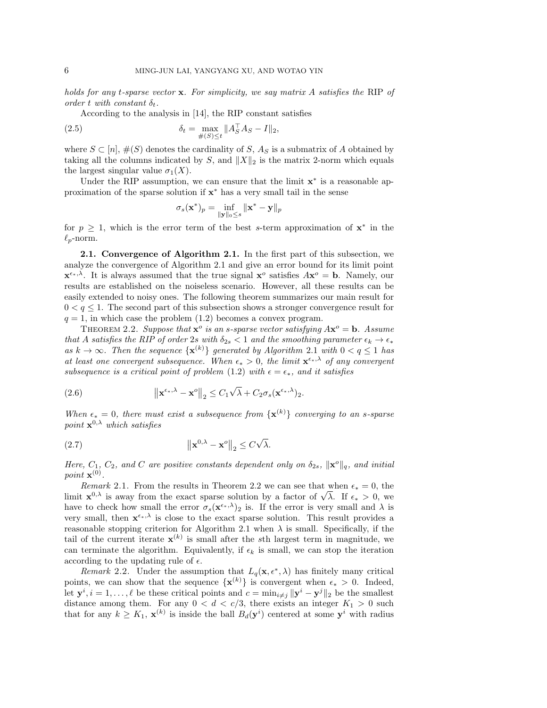*holds for any* t*-sparse vector* **x***. For simplicity, we say matrix* A *satisfies the* RIP *of order*  $t$  *with constant*  $\delta_t$ *.* 

According to the analysis in [14], the RIP constant satisfies

(2.5) 
$$
\delta_t = \max_{\#(S) \le t} \|A_S^{\top} A_S - I\|_2,
$$

where  $S \subset [n], \#(S)$  denotes the cardinality of S,  $A_S$  is a submatrix of A obtained by taking all the columns indicated by S, and  $||X||_2$  is the matrix 2-norm which equals the largest singular value  $\sigma_1(X)$ .

Under the RIP assumption, we can ensure that the limit **x**<sup>∗</sup> is a reasonable approximation of the sparse solution if **x**<sup>∗</sup> has a very small tail in the sense

$$
\sigma_s(\mathbf{x}^*)_p = \inf_{\|\mathbf{y}\|_0 \le s} \|\mathbf{x}^* - \mathbf{y}\|_p
$$

for  $p \geq 1$ , which is the error term of the best s-term approximation of  $x^*$  in the  $\ell_p$ -norm.

**2.1. Convergence of Algorithm 2.1.** In the first part of this subsection, we analyze the convergence of Algorithm 2.1 and give an error bound for its limit point  $\mathbf{x}^{\epsilon_{*},\lambda}$ . It is always assumed that the true signal  $\mathbf{x}^{\circ}$  satisfies  $A\mathbf{x}^{\circ} = \mathbf{b}$ . Namely, our results are established on the noiseless scenario. However, all these results can be easily extended to noisy ones. The following theorem summarizes our main result for  $0 < q \leq 1$ . The second part of this subsection shows a stronger convergence result for  $q = 1$ , in which case the problem  $(1.2)$  becomes a convex program.

THEOREM 2.2. Suppose that  $\mathbf{x}^o$  is an s-sparse vector satisfying  $A\mathbf{x}^o = \mathbf{b}$ . Assume *that* A *satisfies the RIP* of order 2s *with*  $\delta_{2s}$  < 1 *and the smoothing parameter*  $\epsilon_k \to \epsilon_*$ *as*  $k \to ∞$ . Then the sequence { $\mathbf{x}^{(k)}$ } generated by Algorithm 2.1 with 0 < q ≤ 1 has at least one convergent subsequence. When  $\epsilon_* > 0$ , the limit  $\mathbf{x}^{\epsilon_*,\lambda}$  of any convergent *subsequence is a critical point of problem* (1.2) *with*  $\epsilon = \epsilon_*,$  *and it satisfies* 

(2.6) 
$$
\|\mathbf{x}^{\epsilon_{*},\lambda}-\mathbf{x}^{o}\|_{2} \leq C_{1}\sqrt{\lambda}+C_{2}\sigma_{s}(\mathbf{x}^{\epsilon_{*},\lambda})_{2}.
$$

*When*  $\epsilon_* = 0$ , there must exist a subsequence from  $\{x^{(k)}\}$  converging to an s-sparse *point* **x**<sup>0</sup>,λ *which satisfies*

(2.7) 
$$
\left\|\mathbf{x}^{0,\lambda}-\mathbf{x}^o\right\|_2 \leq C\sqrt{\lambda}.
$$

*Here,*  $C_1$ ,  $C_2$ , and  $C$  are positive constants dependent only on  $\delta_{2s}$ ,  $\|\mathbf{x}^o\|_q$ , and initial *point*  $\mathbf{x}^{(0)}$ *.* 

*Remark* 2.1. From the results in Theorem 2.2 we can see that when  $\epsilon_* = 0$ , the *Remark 2.1.* From the results in Theorem 2.2 we can see that when  $\epsilon_* = 0$ , the limit  $\mathbf{x}^{0,\lambda}$  is away from the exact sparse solution by a factor of  $\sqrt{\lambda}$ . If  $\epsilon_* > 0$ , we have to check how small the error  $\sigma_s(\mathbf{x}^{\epsilon_*,\lambda})_2$  is. If the error is very small and  $\lambda$  is very small, then  $\mathbf{x}^{\epsilon_{*},\lambda}$  is close to the exact sparse solution. This result provides a reasonable stopping criterion for Algorithm 2.1 when  $\lambda$  is small. Specifically, if the tail of the current iterate  $\mathbf{x}^{(k)}$  is small after the sth largest term in magnitude, we can terminate the algorithm. Equivalently, if  $\epsilon_k$  is small, we can stop the iteration according to the updating rule of  $\epsilon$ .

*Remark* 2.2. Under the assumption that  $L_q(\mathbf{x}, \epsilon^*, \lambda)$  has finitely many critical points, we can show that the sequence  $\{x^{(k)}\}$  is convergent when  $\epsilon_* > 0$ . Indeed, let **y**<sup>*i*</sup>, *i* = 1,...,  $\ell$  be these critical points and  $c = \min_{i \neq j} ||\mathbf{y}^i - \mathbf{y}^j||_2$  be the smallest distance among them. For any  $0 < d < c/3$ , there exists an integer  $K_1 > 0$  such that for any  $k \geq K_1$ ,  $\mathbf{x}^{(k)}$  is inside the ball  $B_d(\mathbf{y}^i)$  centered at some  $\mathbf{y}^i$  with radius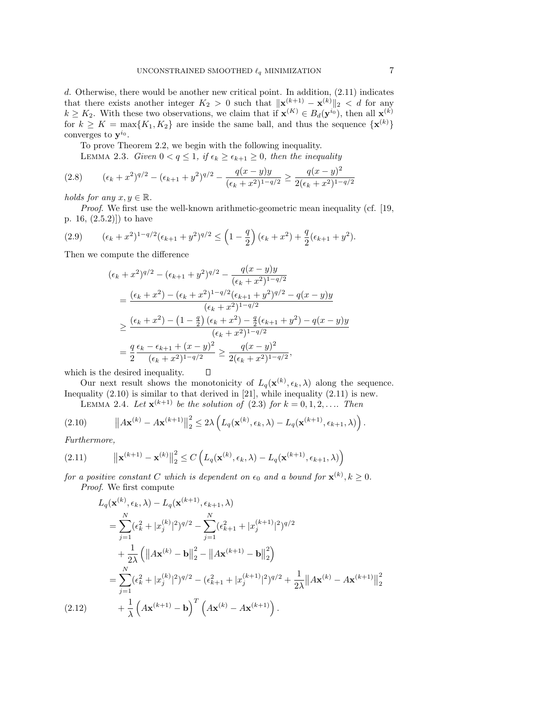d. Otherwise, there would be another new critical point. In addition, (2.11) indicates that there exists another integer  $K_2 > 0$  such that  $\|\mathbf{x}^{(k+1)} - \mathbf{x}^{(k)}\|_2 < d$  for any  $k \geq K_2$ . With these two observations, we claim that if  $\mathbf{x}^{(K)} \in B_d(\mathbf{y}^{i_0})$ , then all  $\mathbf{x}^{(k)}$ for  $k \geq K = \max\{K_1, K_2\}$  are inside the same ball, and thus the sequence  $\{\mathbf{x}^{(k)}\}$ converges to  $y^{i_0}$ .

To prove Theorem 2.2, we begin with the following inequality.

LEMMA 2.3. *Given*  $0 < q \leq 1$ , if  $\epsilon_k \geq \epsilon_{k+1} \geq 0$ , then the inequality

$$
(2.8) \qquad (\epsilon_k + x^2)^{q/2} - (\epsilon_{k+1} + y^2)^{q/2} - \frac{q(x - y)y}{(\epsilon_k + x^2)^{1 - q/2}} \ge \frac{q(x - y)^2}{2(\epsilon_k + x^2)^{1 - q/2}}
$$

*holds for any*  $x, y \in \mathbb{R}$ .

*Proof*. We first use the well-known arithmetic-geometric mean inequality (cf. [19, p. 16, (2.5.2)]) to have

(2.9) 
$$
(\epsilon_k + x^2)^{1-q/2} (\epsilon_{k+1} + y^2)^{q/2} \leq \left(1 - \frac{q}{2}\right) (\epsilon_k + x^2) + \frac{q}{2} (\epsilon_{k+1} + y^2).
$$

Then we compute the difference

$$
(\epsilon_k + x^2)^{q/2} - (\epsilon_{k+1} + y^2)^{q/2} - \frac{q(x - y)y}{(\epsilon_k + x^2)^{1 - q/2}}
$$
  
= 
$$
\frac{(\epsilon_k + x^2) - (\epsilon_k + x^2)^{1 - q/2} (\epsilon_{k+1} + y^2)^{q/2} - q(x - y)y}{(\epsilon_k + x^2)^{1 - q/2}}
$$
  

$$
\geq \frac{(\epsilon_k + x^2) - (1 - \frac{q}{2}) (\epsilon_k + x^2) - \frac{q}{2} (\epsilon_{k+1} + y^2) - q(x - y)y}{(\epsilon_k + x^2)^{1 - q/2}}
$$
  
= 
$$
\frac{q}{2} \frac{\epsilon_k - \epsilon_{k+1} + (x - y)^2}{(\epsilon_k + x^2)^{1 - q/2}} \geq \frac{q(x - y)^2}{2(\epsilon_k + x^2)^{1 - q/2}},
$$

which is the desired inequality.

Our next result shows the monotonicity of  $L_q(\mathbf{x}^{(k)}, \epsilon_k, \lambda)$  along the sequence. Inequality (2.10) is similar to that derived in [21], while inequality (2.11) is new.

**LEMMA** 2.4. Let  $\mathbf{x}^{(k+1)}$  be the solution of (2.3) for  $k = 0, 1, 2, \ldots$  Then

 $\Box$ 

$$
(2.10) \t\t ||A\mathbf{x}^{(k)} - A\mathbf{x}^{(k+1)}||_2^2 \leq 2\lambda \left( L_q(\mathbf{x}^{(k)}, \epsilon_k, \lambda) - L_q(\mathbf{x}^{(k+1)}, \epsilon_{k+1}, \lambda) \right).
$$

*Furthermore,*

(2.11) 
$$
\|\mathbf{x}^{(k+1)} - \mathbf{x}^{(k)}\|_2^2 \le C \left( L_q(\mathbf{x}^{(k)}, \epsilon_k, \lambda) - L_q(\mathbf{x}^{(k+1)}, \epsilon_{k+1}, \lambda) \right)
$$

*for a positive constant* C *which is dependent on*  $\epsilon_0$  *and a bound for*  $\mathbf{x}^{(k)}$ ,  $k \geq 0$ . *Proof*. We first compute

$$
L_q(\mathbf{x}^{(k)}, \epsilon_k, \lambda) - L_q(\mathbf{x}^{(k+1)}, \epsilon_{k+1}, \lambda)
$$
  
\n
$$
= \sum_{j=1}^N (\epsilon_k^2 + |x_j^{(k)}|^2)^{q/2} - \sum_{j=1}^N (\epsilon_{k+1}^2 + |x_j^{(k+1)}|^2)^{q/2}
$$
  
\n
$$
+ \frac{1}{2\lambda} (||A\mathbf{x}^{(k)} - \mathbf{b}||_2^2 - ||A\mathbf{x}^{(k+1)} - \mathbf{b}||_2^2)
$$
  
\n
$$
= \sum_{j=1}^N (\epsilon_k^2 + |x_j^{(k)}|^2)^{q/2} - (\epsilon_{k+1}^2 + |x_j^{(k+1)}|^2)^{q/2} + \frac{1}{2\lambda} ||A\mathbf{x}^{(k)} - A\mathbf{x}^{(k+1)}||_2^2
$$
  
\n(2.12) 
$$
+ \frac{1}{\lambda} (A\mathbf{x}^{(k+1)} - \mathbf{b})^T (A\mathbf{x}^{(k)} - A\mathbf{x}^{(k+1)}).
$$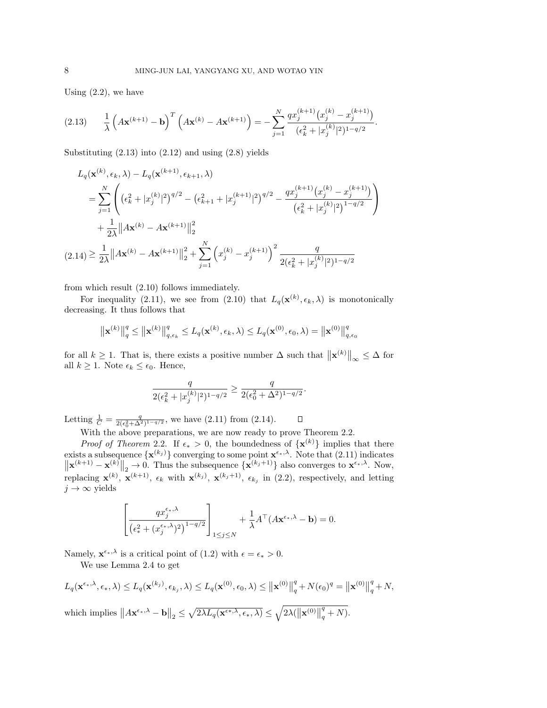Using  $(2.2)$ , we have

$$
(2.13) \qquad \frac{1}{\lambda} \left( A \mathbf{x}^{(k+1)} - \mathbf{b} \right)^T \left( A \mathbf{x}^{(k)} - A \mathbf{x}^{(k+1)} \right) = - \sum_{j=1}^N \frac{q x_j^{(k+1)} (x_j^{(k)} - x_j^{(k+1)})}{(\epsilon_k^2 + |x_j^{(k)}|^2)^{1-q/2}}.
$$

Substituting  $(2.13)$  into  $(2.12)$  and using  $(2.8)$  yields

$$
L_q(\mathbf{x}^{(k)}, \epsilon_k, \lambda) - L_q(\mathbf{x}^{(k+1)}, \epsilon_{k+1}, \lambda)
$$
  
\n
$$
= \sum_{j=1}^N \left( (\epsilon_k^2 + |x_j^{(k)}|^2)^{q/2} - (\epsilon_{k+1}^2 + |x_j^{(k+1)}|^2)^{q/2} - \frac{qx_j^{(k+1)}(x_j^{(k)} - x_j^{(k+1)})}{(\epsilon_k^2 + |x_j^{(k)}|^2)^{1-q/2}} \right)
$$
  
\n
$$
+ \frac{1}{2\lambda} ||A\mathbf{x}^{(k)} - A\mathbf{x}^{(k+1)}||_2^2
$$
  
\n
$$
(2.14) \ge \frac{1}{2\lambda} ||A\mathbf{x}^{(k)} - A\mathbf{x}^{(k+1)}||_2^2 + \sum_{j=1}^N (x_j^{(k)} - x_j^{(k+1)})^2 \frac{q}{2(\epsilon_k^2 + |x_j^{(k)}|^2)^{1-q/2}}
$$

from which result (2.10) follows immediately.

For inequality (2.11), we see from (2.10) that  $L_q(\mathbf{x}^{(k)}, \epsilon_k, \lambda)$  is monotonically decreasing. It thus follows that

$$
\left\|\mathbf{x}^{(k)}\right\|_{q}^{q} \leq \left\|\mathbf{x}^{(k)}\right\|_{q,\epsilon_k}^{q} \leq L_q(\mathbf{x}^{(k)},\epsilon_k,\lambda) \leq L_q(\mathbf{x}^{(0)},\epsilon_0,\lambda) = \left\|\mathbf{x}^{(0)}\right\|_{q,\epsilon_0}^{q}
$$

for all  $k \ge 1$ . That is, there exists a positive number  $\Delta$  such that  $\|\mathbf{x}^{(k)}\|_{\infty} \le \Delta$  for all  $k \geq 1$ . Note  $\epsilon_k \leq \epsilon_0$ . Hence,

$$
\frac{q}{2(\epsilon_k^2 + |x_j^{(k)}|^2)^{1-q/2}} \ge \frac{q}{2(\epsilon_0^2 + \Delta^2)^{1-q/2}}.
$$

Letting  $\frac{1}{C} = \frac{q}{2(\epsilon_0^2 + \Delta^2)^{1-q/2}}$ , we have (2.11) from (2.14).  $\Box$ 

With the above preparations, we are now ready to prove Theorem 2.2.

*Proof of Theorem* 2.2. If  $\epsilon_* > 0$ , the boundedness of  $\{x^{(k)}\}$  implies that there exists a subsequence  $\{\mathbf{x}^{(k_j)}\}$  converging to some point  $\mathbf{x}^{\epsilon_{\ast},\lambda}$ . Note that (2.11) indicates  $\|\mathbf{x}^{(k+1)} - \mathbf{x}^{(k)}\|_2 \to 0$ . Thus the subsequence  $\{\mathbf{x}^{(k_j+1)}\}$  also converges to  $\mathbf{x}^{\epsilon_{*},\lambda}$ . Now, replacing  $\mathbf{x}^{(k)}$ ,  $\mathbf{x}^{(k+1)}$ ,  $\epsilon_k$  with  $\mathbf{x}^{(k_j)}$ ,  $\mathbf{x}^{(k_j+1)}$ ,  $\epsilon_{k_j}$  in (2.2), respectively, and letting  $j \to \infty$  yields

$$
\left[\frac{qx_j^{\epsilon_*,\lambda}}{(\epsilon_*^2 + (x_j^{\epsilon_*,\lambda})^2)^{1-q/2}}\right]_{1\leq j\leq N} + \frac{1}{\lambda}A^\top (A\mathbf{x}^{\epsilon_*,\lambda} - \mathbf{b}) = 0.
$$

Namely,  $\mathbf{x}^{\epsilon_*,\lambda}$  is a critical point of (1.2) with  $\epsilon = \epsilon_* > 0$ .

We use Lemma 2.4 to get

$$
L_q(\mathbf{x}^{\epsilon_*,\lambda}, \epsilon_*, \lambda) \le L_q(\mathbf{x}^{(k_j)}, \epsilon_{k_j}, \lambda) \le L_q(\mathbf{x}^{(0)}, \epsilon_0, \lambda) \le ||\mathbf{x}^{(0)}||_q^q + N(\epsilon_0)^q = ||\mathbf{x}^{(0)}||_q^q + N,
$$
  
which implies  $||A\mathbf{x}^{\epsilon_*,\lambda} - \mathbf{b}||_2 \le \sqrt{2\lambda L_q(\mathbf{x}^{\epsilon_*,\lambda}, \epsilon_*, \lambda)} \le \sqrt{2\lambda(||\mathbf{x}^{(0)}||_q^q + N)}.$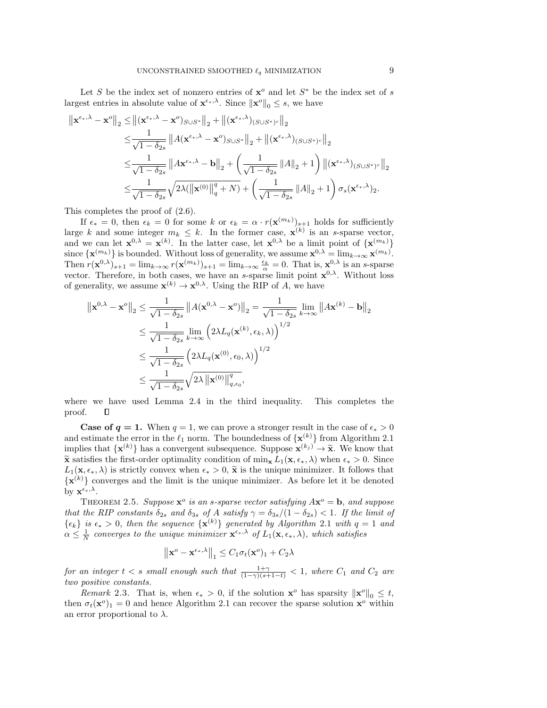Let S be the index set of nonzero entries of  $x^o$  and let  $S^*$  be the index set of s largest entries in absolute value of  $\mathbf{x}^{\epsilon_*,\lambda}$ . Since  $\|\mathbf{x}^o\|_0 \leq s$ , we have

$$
\begin{aligned}\n\left\|\mathbf{x}^{\epsilon_{*},\lambda}-\mathbf{x}^o\right\|_2 &\leq \left\|(\mathbf{x}^{\epsilon_{*},\lambda}-\mathbf{x}^o)_{S\cup S^*}\right\|_2+\left\|(\mathbf{x}^{\epsilon_{*},\lambda})_{(S\cup S^*)^c}\right\|_2 \\
&\leq \frac{1}{\sqrt{1-\delta_{2s}}}\left\|A(\mathbf{x}^{\epsilon_{*},\lambda}-\mathbf{x}^o)_{S\cup S^*}\right\|_2+\left\|(\mathbf{x}^{\epsilon_{*},\lambda})_{(S\cup S^*)^c}\right\|_2 \\
&\leq \frac{1}{\sqrt{1-\delta_{2s}}}\left\|A\mathbf{x}^{\epsilon_{*},\lambda}-\mathbf{b}\right\|_2+\left(\frac{1}{\sqrt{1-\delta_{2s}}}\left\|A\right\|_2+1\right)\left\|(\mathbf{x}^{\epsilon_{*},\lambda})_{(S\cup S^*)^c}\right\|_2 \\
&\leq \frac{1}{\sqrt{1-\delta_{2s}}}\sqrt{2\lambda(\left\|\mathbf{x}^{(0)}\right\|_q^q+N)}+\left(\frac{1}{\sqrt{1-\delta_{2s}}}\left\|A\right\|_2+1\right)\sigma_s(\mathbf{x}^{\epsilon_{*},\lambda})_2.\n\end{aligned}
$$

This completes the proof of (2.6).

If  $\epsilon_* = 0$ , then  $\epsilon_k = 0$  for some k or  $\epsilon_k = \alpha \cdot r(\mathbf{x}^{(m_k)})_{\substack{s=1\\j\neq j}}$  holds for sufficiently large k and some integer  $m_k \leq k$ . In the former case,  $\mathbf{x}^{(k)}$  is an s-sparse vector, and we can let  $\mathbf{x}^{0,\lambda} = \mathbf{x}^{(k)}$ . In the latter case, let  $\mathbf{x}^{0,\lambda}$  be a limit point of  $\{\mathbf{x}^{(m_k)}\}$ since  $\{\mathbf{x}^{(m_k)}\}$  is bounded. Without loss of generality, we assume  $\mathbf{x}^{0,\lambda} = \lim_{k \to \infty} \mathbf{x}^{(m_k)}$ . Then  $r(\mathbf{x}^{0,\lambda})_{s+1} = \lim_{k \to \infty} r(\mathbf{x}^{(m_k)})_{s+1} = \lim_{k \to \infty} \frac{\epsilon_k}{\alpha} = 0$ . That is,  $\mathbf{x}^{0,\lambda}$  is an s-sparse vector. Therefore, in both cases, we have an *s*-sparse limit point  $\mathbf{x}^{0,\lambda}$ . Without loss of generality, we assume  $\mathbf{x}^{(k)} \to \mathbf{x}^{0,\lambda}$ . Using the RIP of A, we have

$$
\|\mathbf{x}^{0,\lambda} - \mathbf{x}^o\|_2 \le \frac{1}{\sqrt{1 - \delta_{2s}}} \|A(\mathbf{x}^{0,\lambda} - \mathbf{x}^o)\|_2 = \frac{1}{\sqrt{1 - \delta_{2s}}} \lim_{k \to \infty} \|A\mathbf{x}^{(k)} - \mathbf{b}\|_2
$$
  

$$
\le \frac{1}{\sqrt{1 - \delta_{2s}}} \lim_{k \to \infty} (2\lambda L_q(\mathbf{x}^{(k)}, \epsilon_k, \lambda))^{1/2}
$$
  

$$
\le \frac{1}{\sqrt{1 - \delta_{2s}}} (2\lambda L_q(\mathbf{x}^{(0)}, \epsilon_0, \lambda))^{1/2}
$$
  

$$
\le \frac{1}{\sqrt{1 - \delta_{2s}}} \sqrt{2\lambda \|\mathbf{x}^{(0)}\|_{q, \epsilon_0}^q},
$$

where we have used Lemma 2.4 in the third inequality. This completes the proof. О

**Case of**  $q = 1$ **.** When  $q = 1$ , we can prove a stronger result in the case of  $\epsilon_* > 0$ and estimate the error in the  $\ell_1$  norm. The boundedness of  $\{\mathbf{x}^{(k)}\}$  from Algorithm 2.1 implies that  $\{x^{(k)}\}$  has a convergent subsequence. Suppose  $\mathbf{x}^{(k_j)} \to \tilde{\mathbf{x}}$ . We know that  $\tilde{\mathbf{x}}$  extisting the first order optimality condition of min  $L(\mathbf{x} \in \mathbb{R})$  when  $\epsilon > 0$ . Since  $\tilde{\mathbf{x}}$  satisfies the first-order optimality condition of min<sub>x</sub>  $L_1(\mathbf{x}, \epsilon_*, \lambda)$  when  $\epsilon_* > 0$ . Since  $L_1(\mathbf{x}, \epsilon_*, \lambda)$  is strictly convex when  $\epsilon_* > 0$ ,  $\tilde{\mathbf{x}}$  is the unique minimizer. It follows that  $\{\mathbf x^{(k)}\}$  converges and the limit is the unique minimizer. As before let it be denoted by  $\mathbf{x}^{\epsilon_*,\lambda}$ .

THEOREM 2.5. *Suppose*  $\mathbf{x}^{\circ}$  *is an s-sparse vector satisfying*  $A\mathbf{x}^{\circ} = \mathbf{b}$ *, and suppose that the RIP constants*  $\delta_{2s}$  *and*  $\delta_{3s}$  *of* A *satisfy*  $\gamma = \delta_{3s}/(1-\delta_{2s}) < 1$ *. If the limit of*  ${e_k}$  *is*  $\epsilon_* > 0$ , then the sequence  ${\bf x}^{(k)}$  generated by Algorithm 2.1 with  $q = 1$  and  $\alpha \leq \frac{1}{N}$  *converges to the unique minimizer*  $\mathbf{x}^{\epsilon_{*},\lambda}$  *of*  $L_1(\mathbf{x}, \epsilon_{*}, \lambda)$ *, which satisfies* 

$$
\left\|\mathbf{x}^o - \mathbf{x}^{\epsilon_*,\lambda}\right\|_1 \le C_1 \sigma_t(\mathbf{x}^o)_1 + C_2 \lambda
$$

*for an integer*  $t < s$  *small enough such that*  $\frac{1+\gamma}{(1-\gamma)(s+1-t)} < 1$ *, where*  $C_1$  *and*  $C_2$  *are two positive constants.*

*Remark* 2.3. That is, when  $\epsilon_* > 0$ , if the solution  $\mathbf{x}^o$  has sparsity  $\|\mathbf{x}^o\|_0 \leq t$ , then  $\sigma_t(\mathbf{x}^o)_1 = 0$  and hence Algorithm 2.1 can recover the sparse solution  $\mathbf{x}^o$  within an error proportional to  $\lambda$ .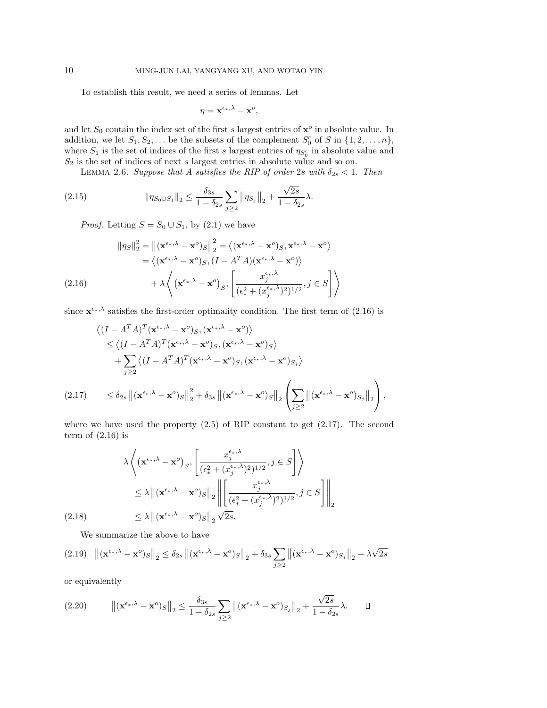To establish this result, we need a series of lemmas. Let

$$
\eta = \mathbf{x}^{\epsilon_{*},\lambda} - \mathbf{x}^{o},
$$

and let  $S_0$  contain the index set of the first s largest entries of  $\mathbf{x}^o$  in absolute value. In addition, we let  $S_1, S_2, \ldots$  be the subsets of the complement  $S_0^c$  of S in  $\{1, 2, \ldots, n\}$ , where  $S_1$  is the set of indices of the first s largest entries of  $\eta_{S_0^c}$  in absolute value and  $S_2$  is the set of indices of next s largest entries in absolute value and so on.

LEMMA 2.6. *Suppose that* A *satisfies the RIP of order* 2s *with*  $\delta_{2s} < 1$ *. Then* 

(2.15) 
$$
\|\eta_{S_0 \cup S_1}\|_2 \leq \frac{\delta_{3s}}{1 - \delta_{2s}} \sum_{j \geq 2} \|\eta_{S_j}\|_2 + \frac{\sqrt{2s}}{1 - \delta_{2s}} \lambda.
$$

*Proof.* Letting  $S = S_0 \cup S_1$ , by (2.1) we have

$$
\|\eta_S\|_2^2 = \left\| (\mathbf{x}^{\epsilon_*, \lambda} - \mathbf{x}^o)_S \right\|_2^2 = \left\langle (\mathbf{x}^{\epsilon_*, \lambda} - \mathbf{x}^o)_S, \mathbf{x}^{\epsilon_*, \lambda} - \mathbf{x}^o \right\rangle
$$
  
\n
$$
= \left\langle (\mathbf{x}^{\epsilon_*, \lambda} - \mathbf{x}^o)_S, (I - A^T A)(\mathbf{x}^{\epsilon_*, \lambda} - \mathbf{x}^o) \right\rangle
$$
  
\n
$$
+ \lambda \left\langle (\mathbf{x}^{\epsilon_*, \lambda} - \mathbf{x}^o)_S, \left[ \frac{x_j^{\epsilon_*, \lambda}}{(\epsilon_*^2 + (x_j^{\epsilon_*, \lambda})^2)^{1/2}}, j \in S \right] \right\rangle
$$

since  $\mathbf{x}^{\epsilon_{*},\lambda}$  satisfies the first-order optimality condition. The first term of (2.16) is

$$
\langle (I - A^T A)^T (\mathbf{x}^{\epsilon_{*}, \lambda} - \mathbf{x}^o)_S, (\mathbf{x}^{\epsilon_{*}, \lambda} - \mathbf{x}^o) \rangle
$$
  
\n
$$
\leq \langle (I - A^T A)^T (\mathbf{x}^{\epsilon_{*}, \lambda} - \mathbf{x}^o)_S, (\mathbf{x}^{\epsilon_{*}, \lambda} - \mathbf{x}^o)_S \rangle
$$
  
\n
$$
+ \sum_{j \geq 2} \langle (I - A^T A)^T (\mathbf{x}^{\epsilon_{*}, \lambda} - \mathbf{x}^o)_S, (\mathbf{x}^{\epsilon_{*}, \lambda} - \mathbf{x}^o)_{S_j} \rangle
$$
  
\n(2.17) 
$$
\leq \delta_{2s} ||(\mathbf{x}^{\epsilon_{*}, \lambda} - \mathbf{x}^o)_S||_2^2 + \delta_{3s} ||(\mathbf{x}^{\epsilon_{*}, \lambda} - \mathbf{x}^o)_S||_2 \left( \sum_{j \geq 2} ||(\mathbf{x}^{\epsilon_{*}, \lambda} - \mathbf{x}^o)_{S_j}||_2 \right),
$$

where we have used the property  $(2.5)$  of RIP constant to get  $(2.17)$ . The second term of  $(2.16)$  is

$$
\lambda \left\langle (\mathbf{x}^{\epsilon_{*},\lambda} - \mathbf{x}^o)_{S}, \left[ \frac{x_j^{\epsilon_{*},\lambda}}{(\epsilon_{*}^2 + (x_j^{\epsilon_{*},\lambda})^2)^{1/2}}, j \in S \right] \right\rangle
$$
  
\n
$$
\leq \lambda \left\| (\mathbf{x}^{\epsilon_{*},\lambda} - \mathbf{x}^o)_{S} \right\|_2 \left\| \left[ \frac{x_j^{\epsilon_{*},\lambda}}{(\epsilon_{*}^2 + (x_j^{\epsilon_{*},\lambda})^2)^{1/2}}, j \in S \right] \right\|_2
$$
  
\n(2.18) 
$$
\leq \lambda \left\| (\mathbf{x}^{\epsilon_{*},\lambda} - \mathbf{x}^o)_{S} \right\|_2 \sqrt{2s}.
$$

We summarize the above to have

$$
(2.19)\quad \left\| (\mathbf{x}^{\epsilon_{*},\lambda} - \mathbf{x}^{\circ})_{S} \right\|_{2} \leq \delta_{2s} \left\| (\mathbf{x}^{\epsilon_{*},\lambda} - \mathbf{x}^{\circ})_{S} \right\|_{2} + \delta_{3s} \sum_{j \geq 2} \left\| (\mathbf{x}^{\epsilon_{*},\lambda} - \mathbf{x}^{\circ})_{S_{j}} \right\|_{2} + \lambda \sqrt{2s}
$$

or equivalently

$$
(2.20) \t ||(\mathbf{x}^{\epsilon_{*},\lambda}-\mathbf{x}^{\circ})_{S}\|_{2} \leq \frac{\delta_{3s}}{1-\delta_{2s}}\sum_{j\geq 2} \|(\mathbf{x}^{\epsilon_{*},\lambda}-\mathbf{x}^{\circ})_{S_{j}}\|_{2} + \frac{\sqrt{2s}}{1-\delta_{2s}}\lambda. \square
$$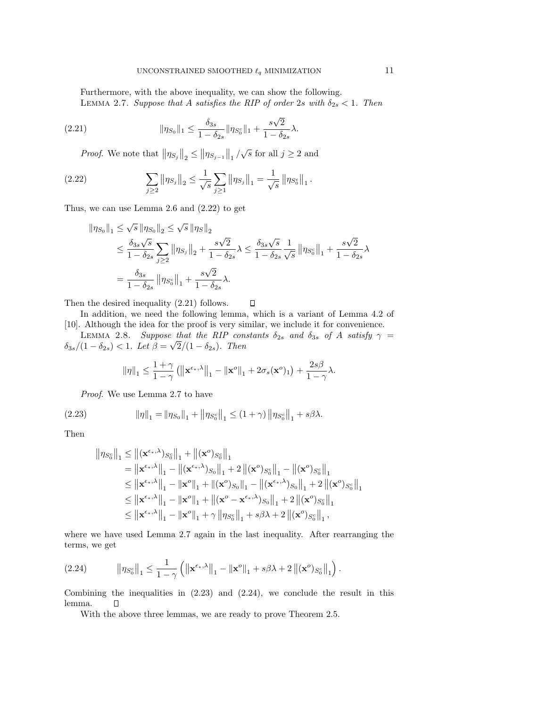Furthermore, with the above inequality, we can show the following. LEMMA 2.7. *Suppose that* A *satisfies the RIP of order* 2s *with*  $\delta_{2s} < 1$ . Then

(2.21) 
$$
\|\eta_{S_0}\|_1 \leq \frac{\delta_{3s}}{1-\delta_{2s}} \|\eta_{S_0^c}\|_1 + \frac{s\sqrt{2}}{1-\delta_{2s}} \lambda.
$$

*Proof.* We note that  $\|\eta_{S_j}\|_2 \le \|\eta_{S_{j-1}}\|_1 / \sqrt{s}$  for all  $j \ge 2$  and

(2.22) 
$$
\sum_{j\geq 2} \|\eta_{S_j}\|_2 \leq \frac{1}{\sqrt{s}} \sum_{j\geq 1} \|\eta_{S_j}\|_1 = \frac{1}{\sqrt{s}} \|\eta_{S_0^c}\|_1.
$$

Thus, we can use Lemma 2.6 and (2.22) to get

$$
\begin{aligned} \left\|\eta_{S_0}\right\|_1 &\leq \sqrt{s}\left\|\eta_{S_0}\right\|_2 \leq \sqrt{s}\left\|\eta_S\right\|_2\\ &\leq \frac{\delta_{3s}\sqrt{s}}{1-\delta_{2s}}\sum_{j\geq 2}\left\|\eta_{S_j}\right\|_2 + \frac{s\sqrt{2}}{1-\delta_{2s}}\lambda \leq \frac{\delta_{3s}\sqrt{s}}{1-\delta_{2s}}\frac{1}{\sqrt{s}}\left\|\eta_{S_0^c}\right\|_1 + \frac{s\sqrt{2}}{1-\delta_{2s}}\lambda\\ &= \frac{\delta_{3s}}{1-\delta_{2s}}\left\|\eta_{S_0^c}\right\|_1 + \frac{s\sqrt{2}}{1-\delta_{2s}}\lambda. \end{aligned}
$$

Then the desired inequality (2.21) follows.  $\Box$ 

In addition, we need the following lemma, which is a variant of Lemma 4.2 of [10]. Although the idea for the proof is very similar, we include it for convenience.

LEMMA 2.8. *Suppose that the RIP constants*  $\delta_{2s}$  *and*  $\delta_{3s}$  *of* A *satisfy*  $\gamma$  =  $\delta_{3s}/(1-\delta_{2s}) < 1$ *. Let*  $\beta = \sqrt{2}/(1-\delta_{2s})$ *. Then* 

$$
\|\eta\|_1 \leq \frac{1+\gamma}{1-\gamma}\left(\left\|{\mathbf x}^{\epsilon_*,\lambda}\right\|_1-\left\|{\mathbf x}^o\right\|_1+2\sigma_s({\mathbf x}^o)_1\right)+\frac{2s\beta}{1-\gamma}\lambda.
$$

*Proof*. We use Lemma 2.7 to have

(2.23) 
$$
\|\eta\|_1 = \|\eta_{S_0}\|_1 + \|\eta_{S_0^c}\|_1 \le (1+\gamma) \|\eta_{S_0^c}\|_1 + s\beta\lambda.
$$

Then

$$
\begin{aligned}\n\|\eta_{S_0^c}\|_1 &\leq \left\|(\mathbf{x}^{\epsilon_*,\lambda})_{S_0^c}\right\|_1 + \left\|(\mathbf{x}^o)_{S_0^c}\right\|_1 \\
&= \left\|\mathbf{x}^{\epsilon_*,\lambda}\right\|_1 - \left\|(\mathbf{x}^{\epsilon_*,\lambda})_{S_0}\right\|_1 + 2\left\|(\mathbf{x}^o)_{S_0^c}\right\|_1 - \left\|(\mathbf{x}^o)_{S_0^c}\right\|_1 \\
&\leq \left\|\mathbf{x}^{\epsilon_*,\lambda}\right\|_1 - \left\|\mathbf{x}^o\right\|_1 + \left\|(\mathbf{x}^o)_{S_0}\right\|_1 - \left\|(\mathbf{x}^{\epsilon_*,\lambda})_{S_0}\right\|_1 + 2\left\|(\mathbf{x}^o)_{S_0^c}\right\|_1 \\
&\leq \left\|\mathbf{x}^{\epsilon_*,\lambda}\right\|_1 - \left\|\mathbf{x}^o\right\|_1 + \left\|(\mathbf{x}^o - \mathbf{x}^{\epsilon_*,\lambda})_{S_0}\right\|_1 + 2\left\|(\mathbf{x}^o)_{S_0^c}\right\|_1 \\
&\leq \left\|\mathbf{x}^{\epsilon_*,\lambda}\right\|_1 - \left\|\mathbf{x}^o\right\|_1 + \gamma\left\|\eta_{S_0^c}\right\|_1 + s\beta\lambda + 2\left\|(\mathbf{x}^o)_{S_0^c}\right\|_1,\n\end{aligned}
$$

where we have used Lemma 2.7 again in the last inequality. After rearranging the terms, we get

(2.24) 
$$
\|\eta_{S_0^c}\|_1 \leq \frac{1}{1-\gamma} \left( \left\| \mathbf{x}^{\epsilon_*,\lambda} \right\|_1 - \left\| \mathbf{x}^o \right\|_1 + s\beta\lambda + 2 \left\| (\mathbf{x}^o)_{S_0^c} \right\|_1 \right).
$$

Combining the inequalities in  $(2.23)$  and  $(2.24)$ , we conclude the result in this lemma.  $\Box$ 

With the above three lemmas, we are ready to prove Theorem 2.5.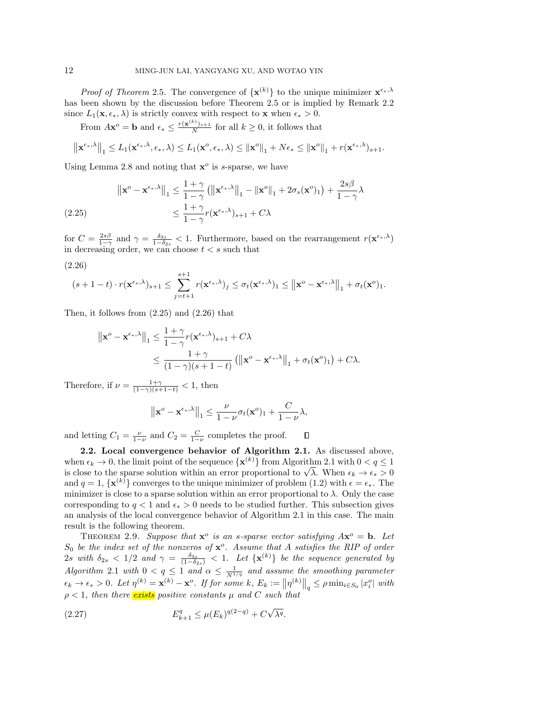*Proof of Theorem* 2.5. The convergence of  $\{x^{(k)}\}$  to the unique minimizer  $x^{\epsilon_{*},\lambda}$ has been shown by the discussion before Theorem 2.5 or is implied by Remark 2.2 since  $L_1(\mathbf{x}, \epsilon_*, \lambda)$  is strictly convex with respect to **x** when  $\epsilon_* > 0$ .

From  $A\mathbf{x}^o = \mathbf{b}$  and  $\epsilon_* \leq \frac{r(\mathbf{x}^{(k)})_{s+1}}{N}$  for all  $k \geq 0$ , it follows that

$$
\left\| \mathbf{x}^{\epsilon_{*},\lambda} \right\|_{1} \leq L_1(\mathbf{x}^{\epsilon_{*},\lambda},\epsilon_{*},\lambda) \leq L_1(\mathbf{x}^o,\epsilon_{*},\lambda) \leq \left\| \mathbf{x}^o \right\|_{1} + N\epsilon_{*} \leq \left\| \mathbf{x}^o \right\|_{1} + r(\mathbf{x}^{\epsilon_{*},\lambda})_{s+1}.
$$

Using Lemma 2.8 and noting that  $x^o$  is s-sparse, we have

$$
\|\mathbf{x}^o - \mathbf{x}^{\epsilon_*,\lambda}\|_1 \le \frac{1+\gamma}{1-\gamma} \left( \|\mathbf{x}^{\epsilon_*,\lambda}\|_1 - \|\mathbf{x}^o\|_1 + 2\sigma_s(\mathbf{x}^o)_1 \right) + \frac{2s\beta}{1-\gamma}\lambda
$$
  
(2.25) 
$$
\le \frac{1+\gamma}{1-\gamma}r(\mathbf{x}^{\epsilon_*,\lambda})_{s+1} + C\lambda
$$

for  $C = \frac{2s\beta}{1-\gamma}$  and  $\gamma = \frac{\delta_{3s}}{1-\delta_{2s}} < 1$ . Furthermore, based on the rearrangement  $r(\mathbf{x}^{\epsilon_{*},\lambda})$ in decreasing order, we can choose  $t < s$  such that

$$
(2.26)
$$

$$
(s+1-t)\cdot r(\mathbf{x}^{\epsilon_{*},\lambda})_{s+1}\leq \sum_{j=t+1}^{s+1} r(\mathbf{x}^{\epsilon_{*},\lambda})_{j}\leq \sigma_{t}(\mathbf{x}^{\epsilon_{*},\lambda})_{1}\leq \left\|\mathbf{x}^{o}-\mathbf{x}^{\epsilon_{*},\lambda}\right\|_{1}+\sigma_{t}(\mathbf{x}^{o})_{1}.
$$

Then, it follows from (2.25) and (2.26) that

$$
\|\mathbf{x}^o - \mathbf{x}^{\epsilon_*,\lambda}\|_1 \le \frac{1+\gamma}{1-\gamma} r(\mathbf{x}^{\epsilon_*,\lambda})_{s+1} + C\lambda
$$
  

$$
\le \frac{1+\gamma}{(1-\gamma)(s+1-t)} \left( \|\mathbf{x}^o - \mathbf{x}^{\epsilon_*,\lambda}\|_1 + \sigma_t(\mathbf{x}^o)_1 \right) + C\lambda.
$$

Therefore, if  $\nu = \frac{1+\gamma}{(1-\gamma)(s+1-t)} < 1$ , then

$$
\left\|\mathbf{x}^o-\mathbf{x}^{\epsilon_*,\lambda}\right\|_1 \leq \frac{\nu}{1-\nu}\sigma_t(\mathbf{x}^o)_1+\frac{C}{1-\nu}\lambda,
$$

and letting  $C_1 = \frac{\nu}{1-\nu}$  and  $C_2 = \frac{C}{1-\nu}$  completes the proof.  $\Box$ 

**2.2. Local convergence behavior of Algorithm 2.1.** As discussed above, when  $\epsilon_k \to 0$ , the limit point of the sequence  $\{ {\bf x}^{(k)} \}$  from Algorithm 2.1 with  $0 < q \leq 1$ when  $\epsilon_k \to 0$ , the limit point of the sequence  $\{x^{(k)}\}$  from Algorithm 2.1 with  $0 < q \le 1$ <br>is close to the sparse solution within an error proportional to  $\sqrt{\lambda}$ . When  $\epsilon_k \to \epsilon_* > 0$ and  $q = 1, \{x^{(k)}\}$  converges to the unique minimizer of problem (1.2) with  $\epsilon = \epsilon_*$ . The minimizer is close to a sparse solution within an error proportional to  $\lambda$ . Only the case corresponding to  $q < 1$  and  $\epsilon_* > 0$  needs to be studied further. This subsection gives an analysis of the local convergence behavior of Algorithm 2.1 in this case. The main result is the following theorem.

THEOREM 2.9. Suppose that  $\mathbf{x}^{\circ}$  is an s-sparse vector satisfying  $A\mathbf{x}^{\circ} = \mathbf{b}$ . Let S<sup>0</sup> *be the index set of the nonzeros of* **x**<sup>o</sup>*. Assume that* A *satisfies the RIP of order*  $2s$  with  $\delta_{2s} < 1/2$  and  $\gamma = \frac{\delta_{3s}}{(1-\delta_{2s})} < 1$ . Let  $\{\mathbf{x}^{(k)}\}\$ be the sequence generated by *Algorithm* 2.1 *with*  $0 < q \leq 1$  *and*  $\alpha \leq \frac{1}{N^{1/q}}$  *and assume the smoothing parameter*  $\epsilon_k \to \epsilon_* > 0$ . Let  $\eta^{(k)} = \mathbf{x}^{(k)} - \mathbf{x}^o$ . If for some k,  $E_k := ||\eta^{(k)}||_q \leq \rho \min_{i \in S_0} |x_i^o|$  with  $\rho < 1$ , then there **exists** positive constants  $\mu$  and C such that

(2.27) 
$$
E_{k+1}^q \le \mu(E_k)^{q(2-q)} + C\sqrt{\lambda^q}.
$$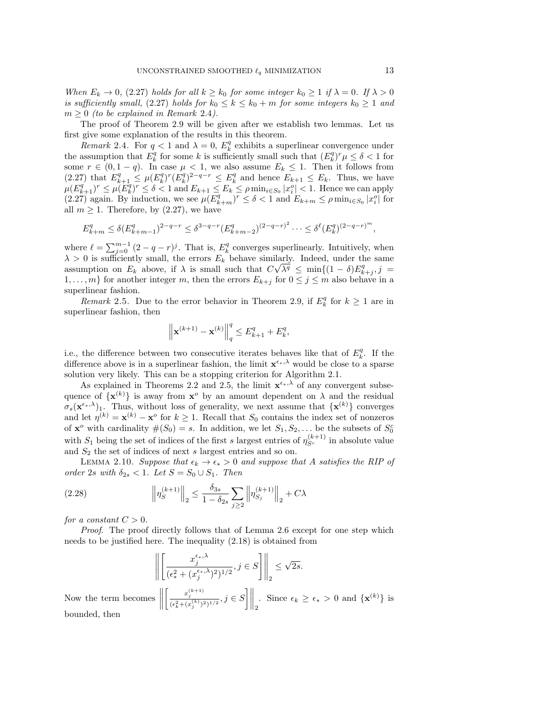*When*  $E_k \to 0$ , (2.27) *holds for all*  $k \geq k_0$  *for some integer*  $k_0 \geq 1$  *if*  $\lambda = 0$ *. If*  $\lambda > 0$ *is sufficiently small,* (2.27) *holds for*  $k_0 \le k \le k_0 + m$  *for some integers*  $k_0 \ge 1$  *and*  $m \geq 0$  *(to be explained in Remark 2.4).* 

The proof of Theorem 2.9 will be given after we establish two lemmas. Let us first give some explanation of the results in this theorem.

*Remark* 2.4. For  $q < 1$  and  $\lambda = 0$ ,  $E_k^q$  exhibits a superlinear convergence under the assumption that  $E_k^q$  for some k is sufficiently small such that  $(E_k^q)^r \mu \leq \delta < 1$  for some  $r \in (0, 1-q)$ . In case  $\mu < 1$ , we also assume  $E_k \leq 1$ . Then it follows from (2.27) that  $E_{k+1}^q \nleq \mu(E_k^q)^r (E_k^q)^{2-q-r} \nleq E_k^q$  and hence  $E_{k+1} \nleq E_k$ . Thus, we have  $\mu(E_{k+1}^q)^r \leq \mu(E_k^q)^r \leq \delta < 1$  and  $E_{k+1} \leq E_k \leq \rho \min_{i \in S_0} |\hat{x}_i^o| < 1$ . Hence we can apply  $(2.27)$  again. By induction, we see  $\mu(E_{k+m}^q)^r \leq \delta < 1$  and  $E_{k+m} \leq \rho \min_{i \in S_0} |x_i^o|$  for all  $m \geq 1$ . Therefore, by (2.27), we have

$$
E_{k+m}^q \le \delta (E_{k+m-1}^q)^{2-q-r} \le \delta^{3-q-r} (E_{k+m-2}^q)^{(2-q-r)^2} \cdots \le \delta^{\ell} (E_k^q)^{(2-q-r)^m},
$$

where  $\ell = \sum_{j=0}^{m-1} (2 - q - r)^j$ . That is,  $E_k^q$  converges superlinearly. Intuitively, when  $\lambda > 0$  is sufficiently small, the errors  $E_k^{\dagger}$  behave similarly. Indeed, under the same assumption on  $E_k$  above, if  $\lambda$  is small such that  $C\sqrt{\lambda^q} \le \min\{(1-\delta)E_{k+j}^q, j=1\}$  $1,\ldots,m$  for another integer m, then the errors  $E_{k+j}$  for  $0 \leq j \leq m$  also behave in a superlinear fashion.

*Remark* 2.5. Due to the error behavior in Theorem 2.9, if  $E_k^q$  for  $k \ge 1$  are in superlinear fashion, then

$$
\left\| \mathbf{x}^{(k+1)} - \mathbf{x}^{(k)} \right\|_{q}^{q} \le E_{k+1}^{q} + E_{k}^{q},
$$

i.e., the difference between two consecutive iterates behaves like that of  $E_k^q$ . If the difference above is in a superlinear fashion, the limit  $\mathbf{x}^{\epsilon_{*},\lambda}$  would be close to a sparse solution very likely. This can be a stopping criterion for Algorithm 2.1.

As explained in Theorems 2.2 and 2.5, the limit  $\mathbf{x}^{\epsilon_{*},\lambda}$  of any convergent subsequence of  $\{x^{(k)}\}$  is away from  $x^o$  by an amount dependent on  $\lambda$  and the residual  $\sigma_s(\mathbf{x}^{\epsilon_{*},\lambda})_1$ . Thus, without loss of generality, we next assume that  $\{\mathbf{x}^{(k)}\}$  converges and let  $\eta^{(k)} = \mathbf{x}^{(k)} - \mathbf{x}^{\circ}$  for  $k \ge 1$ . Recall that  $S_0$  contains the index set of nonzeros of **x**<sup>o</sup> with cardinality  $\#(S_0) = s$ . In addition, we let  $S_1, S_2, \ldots$  be the subsets of  $S_0^c$ with  $S_1$  being the set of indices of the first s largest entries of  $\eta_{S^c}^{(k+1)}$  in absolute value and  $S_2$  the set of indices of next s largest entries and so on.

LEMMA 2.10. *Suppose that*  $\epsilon_k \to \epsilon_* > 0$  *and suppose that* A *satisfies the RIP of order* 2s with  $\delta_{2s} < 1$ *. Let*  $S = S_0 \cup S_1$ *. Then* 

(2.28) 
$$
\left\| \eta_S^{(k+1)} \right\|_2 \leq \frac{\delta_{3s}}{1 - \delta_{2s}} \sum_{j \geq 2} \left\| \eta_{S_j}^{(k+1)} \right\|_2 + C\lambda
$$

*for a constant*  $C > 0$ *.* 

*Proof*. The proof directly follows that of Lemma 2.6 except for one step which needs to be justified here. The inequality (2.18) is obtained from

$$
\left\| \left[ \frac{x_j^{\epsilon_*,\lambda}}{(\epsilon^2_* + (x_j^{\epsilon_*,\lambda})^2)^{1/2}}, j \in S \right] \right\|_2 \leq \sqrt{2s}.
$$

Now the term becomes  $\parallel$  $\left[\frac{x_j^{(k+1)}}{(\epsilon_k^2 + (x_j^{(k)})^2)^{1/2}}, j \in S\right]\Big|_2$ . Since  $\epsilon_k \ge \epsilon_* > 0$  and  $\{\mathbf{x}^{(k)}\}$  is bounded, then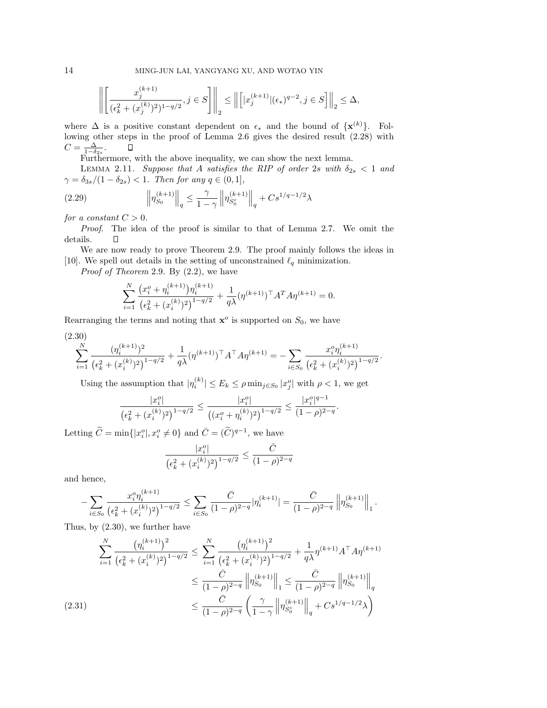$$
\Bigg\|\Bigg[\frac{x_j^{(k+1)}}{(\epsilon_k^2+(x_j^{(k)})^2)^{1-q/2}}, j\in S\Bigg]\Bigg\|_2\le \Big\|\Big [|x_j^{(k+1)}|(\epsilon_*)^{q-2}, j\in S\Big]\Big\|_2\le \Delta,
$$

where  $\Delta$  is a positive constant dependent on  $\epsilon_*$  and the bound of  $\{x^{(k)}\}$ . Following other steps in the proof of Lemma 2.6 gives the desired result (2.28) with  $C = \frac{\Delta}{1-\delta_{2s}}$ .  $\qquad \Box$ <br>Furthermore, with the above inequality, we can show the next lemma.

LEMMA 2.11. *Suppose that* A *satisfies the RIP of order* 2s with  $\delta_{2s} < 1$  and  $\gamma = \delta_{3s}/(1 - \delta_{2s}) < 1$ *. Then for any*  $q \in (0, 1]$ *,* 

(2.29) 
$$
\left\| \eta_{S_0}^{(k+1)} \right\|_q \leq \frac{\gamma}{1-\gamma} \left\| \eta_{S_0^c}^{(k+1)} \right\|_q + Cs^{1/q-1/2} \lambda
$$

*for a constant*  $C > 0$ *.* 

*Proof*. The idea of the proof is similar to that of Lemma 2.7. We omit the details.  $\Box$ 

We are now ready to prove Theorem 2.9. The proof mainly follows the ideas in [10]. We spell out details in the setting of unconstrained  $\ell_q$  minimization.

*Proof of Theorem* 2.9. By (2.2), we have

$$
\sum_{i=1}^{N} \frac{\left(x_i^o + \eta_i^{(k+1)}\right) \eta_i^{(k+1)}}{\left(\epsilon_k^2 + (x_i^{(k)})^2\right)^{1-q/2}} + \frac{1}{q\lambda} (\eta^{(k+1)})^\top A^T A \eta^{(k+1)} = 0.
$$

Rearranging the terms and noting that  $\mathbf{x}^o$  is supported on  $S_0$ , we have

$$
\sum_{i=1}^{N} \frac{(\eta_i^{(k+1)})^2}{(\epsilon_k^2 + (x_i^{(k)})^2)^{1-q/2}} + \frac{1}{q\lambda} (\eta^{(k+1)})^\top A^\top A \eta^{(k+1)} = -\sum_{i \in S_0} \frac{x_i^o \eta_i^{(k+1)}}{(\epsilon_k^2 + (x_i^{(k)})^2)^{1-q/2}}.
$$

Using the assumption that  $|\eta_i^{(k)}| \le E_k \le \rho \min_{j \in S_0} |x_j^o|$  with  $\rho < 1$ , we get

$$
\frac{|x_i^o|}{\left(\epsilon_k^2 + (x_i^{(k)})^2\right)^{1-q/2}} \le \frac{|x_i^o|}{\left((x_i^o + \eta_i^{(k)})^2\right)^{1-q/2}} \le \frac{|x_i^o|^{q-1}}{(1-\rho)^{2-q}}.
$$

Letting  $\widetilde{C} = \min\{|x_i^o|, x_i^o \neq 0\}$  and  $\overline{C} = (\widetilde{C})^{q-1}$ , we have

$$
\frac{|x_i^o|}{\left(\epsilon_k^2+(x_i^{(k)})^2\right)^{1-q/2}}\leq \frac{\bar{C}}{(1-\rho)^{2-q}}
$$

and hence,

$$
-\sum_{i\in S_0}\frac{x_i^o\eta_i^{(k+1)}}{\left(\epsilon_k^2+(x_i^{(k)})^2\right)^{1-q/2}}\leq \sum_{i\in S_0}\frac{\bar C}{(1-\rho)^{2-q}}|\eta_i^{(k+1)}|=\frac{\bar C}{(1-\rho)^{2-q}}\left\|\eta_{S_0}^{(k+1)}\right\|_1.
$$

Thus, by (2.30), we further have

$$
\sum_{i=1}^{N} \frac{\left(\eta_i^{(k+1)}\right)^2}{\left(\epsilon_k^2 + (x_i^{(k)})^2\right)^{1-q/2}} \le \sum_{i=1}^{N} \frac{\left(\eta_i^{(k+1)}\right)^2}{\left(\epsilon_k^2 + (x_i^{(k)})^2\right)^{1-q/2}} + \frac{1}{q\lambda} \eta^{(k+1)} A^{\top} A \eta^{(k+1)}
$$
\n
$$
\le \frac{\bar{C}}{(1-\rho)^{2-q}} \left\| \eta_{S_0}^{(k+1)} \right\|_1 \le \frac{\bar{C}}{(1-\rho)^{2-q}} \left\| \eta_{S_0}^{(k+1)} \right\|_q
$$
\n
$$
\le \frac{\bar{C}}{(1-\rho)^{2-q}} \left(\frac{\gamma}{1-\gamma} \left\| \eta_{S_0}^{(k+1)} \right\|_q + Cs^{1/q-1/2} \lambda\right)
$$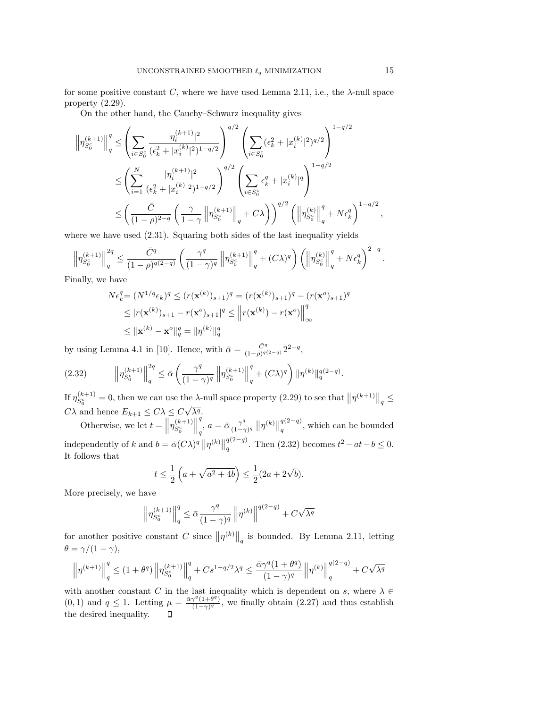for some positive constant C, where we have used Lemma 2.11, i.e., the  $\lambda$ -null space property (2.29).

On the other hand, the Cauchy–Schwarz inequality gives

$$
\left\| \eta_{S_0^c}^{(k+1)} \right\|_q^q \leq \left( \sum_{i \in S_0^c} \frac{|\eta_i^{(k+1)}|^2}{(\epsilon_k^2 + |x_i^{(k)}|^2)^{1-q/2}} \right)^{q/2} \left( \sum_{i \in S_0^c} (\epsilon_k^2 + |x_i^{(k)}|^2)^{q/2} \right)^{1-q/2}
$$
  

$$
\leq \left( \sum_{i=1}^N \frac{|\eta_i^{(k+1)}|^2}{(\epsilon_k^2 + |x_i^{(k)}|^2)^{1-q/2}} \right)^{q/2} \left( \sum_{i \in S_0^c} \epsilon_k^q + |x_i^{(k)}|^q \right)^{1-q/2}
$$
  

$$
\leq \left( \frac{\bar{C}}{(1-\rho)^{2-q}} \left( \frac{\gamma}{1-\gamma} \left\| \eta_{S_0^c}^{(k+1)} \right\|_q + C\lambda \right) \right)^{q/2} \left( \left\| \eta_{S_0^c}^{(k)} \right\|_q^q + N \epsilon_k^q \right)^{1-q/2},
$$

where we have used  $(2.31)$ . Squaring both sides of the last inequality yields

$$
\left\|\eta_{S_0^c}^{(k+1)}\right\|_q^{2q} \leq \frac{\bar{C}^q}{(1-\rho)^{q(2-q)}}\left(\frac{\gamma^q}{(1-\gamma)^q}\left\|\eta_{S_0^c}^{(k+1)}\right\|_q^q + (C\lambda)^q\right)\left(\left\|\eta_{S_0^c}^{(k)}\right\|_q^q + N\epsilon_k^q\right)^{2-q}.
$$

Finally, we have

$$
N\epsilon_k^q = (N^{1/q}\epsilon_k)^q \le (r(\mathbf{x}^{(k)})_{s+1})^q = (r(\mathbf{x}^{(k)})_{s+1})^q - (r(\mathbf{x}^{o})_{s+1})^q
$$
  
\n
$$
\le |r(\mathbf{x}^{(k)})_{s+1} - r(\mathbf{x}^{o})_{s+1}|^q \le ||r(\mathbf{x}^{(k)}) - r(\mathbf{x}^{o})||_{\infty}^q
$$
  
\n
$$
\le ||\mathbf{x}^{(k)} - \mathbf{x}^{o}||_{q}^q = ||\eta^{(k)}||_{q}^q
$$

by using Lemma 4.1 in [10]. Hence, with  $\bar{\alpha} = \frac{\bar{C}^q}{(1-\rho)^{q(2-q)}} 2^{2-q}$ ,

$$
(2.32) \qquad \left\| \eta_{S_0^c}^{(k+1)} \right\|_q^{2q} \le \bar{\alpha} \left( \frac{\gamma^q}{(1-\gamma)^q} \left\| \eta_{S_0^c}^{(k+1)} \right\|_q^q + (C\lambda)^q \right) \|\eta^{(k)}\|_q^{q(2-q)}.
$$

If  $\eta_{S_0^c}^{(k+1)} = 0$ , then we can use the  $\lambda$ -null space property (2.29) to see that  $\left\| \eta^{(k+1)} \right\|_q \leq$  $C\lambda$  and hence  $E_{k+1} \leq C\lambda \leq C\sqrt{\lambda^q}$ .  $\overline{a}$ 

Otherwise, we let  $t = \left\| \eta_{S_0^c}^{(k+1)} \right\|$  $\begin{array}{c} \hline \end{array}$  $\int_{q}^{q}$ ,  $a = \bar{\alpha} \frac{\gamma^{q}}{(1-\gamma)^{q}} \left\| \eta^{(k)} \right\|_{q}^{q(2-q)}$ , which can be bounded independently of k and  $b = \bar{\alpha}(C\lambda)^q \|\eta^{(k)}\|_q^{q(2-q)}$ . Then (2.32) becomes  $t^2 - at - b \leq 0$ . It follows that

$$
t \le \frac{1}{2} \left( a + \sqrt{a^2 + 4b} \right) \le \frac{1}{2} (2a + 2\sqrt{b}).
$$

More precisely, we have

$$
\left\|\eta_{S_0^c}^{(k+1)}\right\|_q^q \leq \bar{\alpha} \frac{\gamma^q}{(1-\gamma)^q}\left\|\eta^{(k)}\right\|^{q(2-q)} + C\sqrt{\lambda^q}
$$

for another positive constant C since  $\|\eta^{(k)}\|_q$  is bounded. By Lemma 2.11, letting  $\theta = \gamma/(1-\gamma),$ 

$$
\left\|\eta^{(k+1)}\right\|_q^q \leq (1+\theta^q)\left\|\eta_{S_0^c}^{(k+1)}\right\|_q^q + Cs^{1-q/2}\lambda^q \leq \frac{\bar{\alpha}\gamma^q(1+\theta^q)}{(1-\gamma)^q}\left\|\eta^{(k)}\right\|_q^{q(2-q)} + C\sqrt{\lambda^q}
$$

with another constant C in the last inequality which is dependent on s, where  $\lambda \in$  $(0, 1)$  and  $q \le 1$ . Letting  $\mu = \frac{\bar{\alpha} \gamma^q (1+\theta^q)}{(1-\gamma)^q}$ , we finally obtain  $(2.27)$  and thus establish the desired inequality.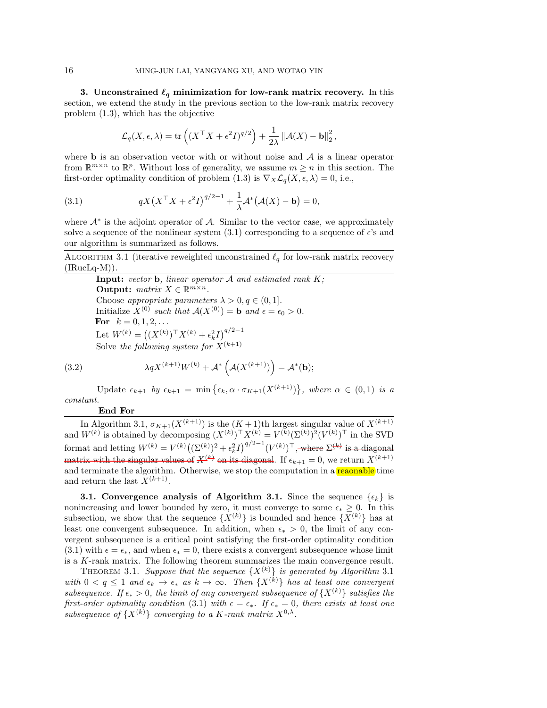**3.** Unconstrained  $\ell_q$  minimization for low-rank matrix recovery. In this section, we extend the study in the previous section to the low-rank matrix recovery problem (1.3), which has the objective

$$
\mathcal{L}_q(X, \epsilon, \lambda) = \text{tr}\left( (X^\top X + \epsilon^2 I)^{q/2} \right) + \frac{1}{2\lambda} ||\mathcal{A}(X) - \mathbf{b}||_2^2,
$$

where **b** is an observation vector with or without noise and  $A$  is a linear operator from  $\mathbb{R}^{m \times n}$  to  $\mathbb{R}^p$ . Without loss of generality, we assume  $m \geq n$  in this section. The first-order optimality condition of problem (1.3) is  $\nabla_X \mathcal{L}_q(X, \epsilon, \lambda) = 0$ , i.e.,

(3.1) 
$$
qX(X^{\top}X+\epsilon^2I)^{q/2-1}+\frac{1}{\lambda}\mathcal{A}^*(\mathcal{A}(X)-\mathbf{b})=0,
$$

where  $A^*$  is the adjoint operator of A. Similar to the vector case, we approximately solve a sequence of the nonlinear system  $(3.1)$  corresponding to a sequence of  $\epsilon$ 's and our algorithm is summarized as follows.

ALGORITHM 3.1 (iterative reweighted unconstrained  $\ell_q$  for low-rank matrix recovery  $(IRucLq-M)).$ 

**Input:** *vector* **b***, linear operator* A *and estimated rank* K*;* **Output:**  $matrix\ X \in \mathbb{R}^{m \times n}$ . Choose *appropriate parameters*  $\lambda > 0, q \in (0, 1]$ *.* Initialize  $X^{(0)}$  *such that*  $A(X^{(0)}) = \mathbf{b}$  *and*  $\epsilon = \epsilon_0 > 0$ *.* **For**  $k = 0, 1, 2, ...$ Let  $W^{(k)} = ((X^{(k)})^{\top} X^{(k)} + \epsilon_k^2 I)^{q/2-1}$ Solve the following system for  $X^{(k+1)}$ 

(3.2) 
$$
\lambda q X^{(k+1)} W^{(k)} + \mathcal{A}^* \left( \mathcal{A} (X^{(k+1)}) \right) = \mathcal{A}^* (\mathbf{b});
$$

Update  $\epsilon_{k+1}$  by  $\epsilon_{k+1} = \min\left\{\epsilon_k, \alpha \cdot \sigma_{K+1}(X^{(k+1)})\right\}$ , where  $\alpha \in (0,1)$  is a *constant.*

## **End For**

In Algorithm 3.1,  $\sigma_{K+1}(X^{(k+1)})$  is the  $(K+1)$ th largest singular value of  $X^{(k+1)}$ and  $W^{(k)}$  is obtained by decomposing  $(X^{(k)})^{\top} X^{(k)} = V^{(k)} (\Sigma^{(k)})^2 (V^{(k)})^{\top}$  in the SVD format and letting  $W^{(k)} = V^{(k)}((\Sigma^{(k)})^2 + \epsilon_k^2 I)^{q/2-1}(V^{(k)})^{\top}$ , where  $\Sigma^{(k)}$  is a diagonal matrix with the singular values of  $X^{(k)}$  on its diagonal. If  $\epsilon_{k+1} = 0$ , we return  $X^{(k+1)}$ and terminate the algorithm. Otherwise, we stop the computation in a **reaonable** time and return the last  $X^{(k+1)}$ .

**3.1. Convergence analysis of Algorithm 3.1.** Since the sequence  $\{\epsilon_k\}$  is nonincreasing and lower bounded by zero, it must converge to some  $\epsilon_* > 0$ . In this subsection, we show that the sequence  $\{X^{(k)}\}$  is bounded and hence  $\{\overline{X}^{(k)}\}$  has at least one convergent subsequence. In addition, when  $\epsilon_* > 0$ , the limit of any convergent subsequence is a critical point satisfying the first-order optimality condition (3.1) with  $\epsilon = \epsilon_*$ , and when  $\epsilon_* = 0$ , there exists a convergent subsequence whose limit is a K-rank matrix. The following theorem summarizes the main convergence result.

THEOREM 3.1. Suppose that the sequence  $\{X^{(k)}\}$  is generated by Algorithm 3.1 *with*  $0 < q \leq 1$  *and*  $\epsilon_k \to \epsilon_*$  *as*  $k \to \infty$ *. Then*  $\{X^{(k)}\}$  *has at least one convergent subsequence. If*  $\epsilon_* > 0$ *, the limit of any convergent subsequence of*  $\{X^{(k)}\}$  *satisfies the first-order optimality condition* (3.1) *with*  $\epsilon = \epsilon_*$ . If  $\epsilon_* = 0$ , there exists at least one  $subsequence of {X^{(k)}}$  *converging to a K-rank matrix*  $X^{0,\lambda}$ *.*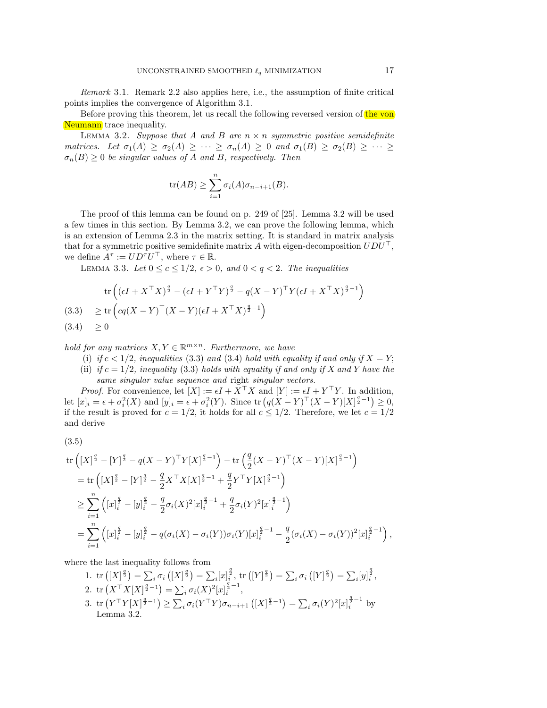*Remark* 3.1. Remark 2.2 also applies here, i.e., the assumption of finite critical points implies the convergence of Algorithm 3.1.

Before proving this theorem, let us recall the following reversed version of the von Neumann trace inequality.

Lemma 3.2. *Suppose that* A *and* B *are* n × n *symmetric positive semidefinite matrices.* Let  $\sigma_1(A) \geq \sigma_2(A) \geq \cdots \geq \sigma_n(A) \geq 0$  and  $\sigma_1(B) \geq \sigma_2(B) \geq \cdots \geq$  $\sigma_n(B) \geq 0$  *be singular values of A and B, respectively. Then* 

$$
tr(AB) \ge \sum_{i=1}^{n} \sigma_i(A)\sigma_{n-i+1}(B).
$$

The proof of this lemma can be found on p. 249 of [25]. Lemma 3.2 will be used a few times in this section. By Lemma 3.2, we can prove the following lemma, which is an extension of Lemma 2.3 in the matrix setting. It is standard in matrix analysis that for a symmetric positive semidefinite matrix  $A$  with eigen-decomposition  $UDU^{\top}$ , we define  $A^{\tau} := U D^{\tau} U^{\top}$ , where  $\tau \in \mathbb{R}$ .

LEMMA 3.3. Let  $0 \leq c \leq 1/2$ ,  $\epsilon > 0$ , and  $0 < q < 2$ . The inequalities

$$
\operatorname{tr}\left((\epsilon I + X^\top X)^{\frac{q}{2}} - (\epsilon I + Y^\top Y)^{\frac{q}{2}} - q(X - Y)^\top Y(\epsilon I + X^\top X)^{\frac{q}{2} - 1}\right)
$$
\n
$$
(3.3) \geq \operatorname{tr}\left(\operatorname{cq}(X - Y)^\top (X - Y)(\epsilon I + X^\top X)^{\frac{q}{2} - 1}\right)
$$
\n
$$
(3.4) \geq 0
$$

*hold for any matrices*  $X, Y \in \mathbb{R}^{m \times n}$ . Furthermore, we have

- (i) if  $c < 1/2$ , inequalities (3.3) and (3.4) hold with equality if and only if  $X = Y$ ;
- (ii) *if*  $c = 1/2$ *, inequality* (3.3) *holds with equality if and only if* X *and* Y *have the same singular value sequence and* right *singular vectors.*

*Proof.* For convenience, let  $[X] := \epsilon I + X^{\top} X$  and  $[Y] := \epsilon I + Y^{\top} Y$ . In addition, let  $[x]_i = \epsilon + \sigma_i^2(X)$  and  $[y]_i = \epsilon + \sigma_i^2(Y)$ . Since  $\text{tr } (q(X - Y)^{\top} (X - Y)[X]^{\frac{q}{2}-1}) \geq 0$ , if the result is proved for  $c = 1/2$ , it holds for all  $c \leq 1/2$ . Therefore, we let  $c = 1/2$ and derive

(3.5)

$$
\operatorname{tr}\left( [X]^{\frac{q}{2}} - [Y]^{\frac{q}{2}} - q(X-Y)^{\top}Y[X]^{\frac{q}{2}-1} \right) - \operatorname{tr}\left( \frac{q}{2}(X-Y)^{\top}(X-Y)[X]^{\frac{q}{2}-1} \right)
$$
\n
$$
= \operatorname{tr}\left( [X]^{\frac{q}{2}} - [Y]^{\frac{q}{2}} - \frac{q}{2}X^{\top}X[X]^{\frac{q}{2}-1} + \frac{q}{2}Y^{\top}Y[X]^{\frac{q}{2}-1} \right)
$$
\n
$$
\geq \sum_{i=1}^{n} \left( [x]_i^{\frac{q}{2}} - [y]_i^{\frac{q}{2}} - \frac{q}{2}\sigma_i(X)^2 [x]_i^{\frac{q}{2}-1} + \frac{q}{2}\sigma_i(Y)^2 [x]_i^{\frac{q}{2}-1} \right)
$$
\n
$$
= \sum_{i=1}^{n} \left( [x]_i^{\frac{q}{2}} - [y]_i^{\frac{q}{2}} - q(\sigma_i(X) - \sigma_i(Y))\sigma_i(Y)[x]_i^{\frac{q}{2}-1} - \frac{q}{2}(\sigma_i(X) - \sigma_i(Y))^2 [x]_i^{\frac{q}{2}-1} \right)
$$

where the last inequality follows from

1. tr  $([X]^{\frac{q}{2}}) = \sum_i \sigma_i ([X]^{\frac{q}{2}}) = \sum_i [x]_i^{\frac{q}{2}},$  tr  $([Y]^{\frac{q}{2}}) = \sum_i \sigma_i ([Y]^{\frac{q}{2}}) = \sum_i [y]_i^{\frac{q}{2}}$ 2. tr  $(X^{\top} X[X]^{\frac{q}{2}-1}) = \sum_i \sigma_i(X)^2 [x]_i^{\frac{q}{2}-1},$ 3. tr  $(Y^{\top}Y[X]^{\frac{q}{2}-1}) \geq \sum_i \sigma_i(Y^{\top}Y)\sigma_{n-i+1}([X]^{\frac{q}{2}-1}) = \sum_i \sigma_i(Y)^2[x]_i^{\frac{q}{2}-1}$  by Lemma 3.2.

,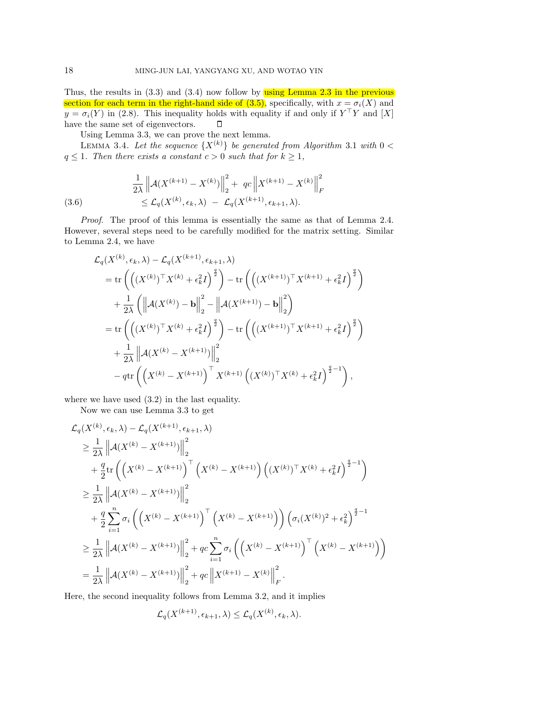Thus, the results in  $(3.3)$  and  $(3.4)$  now follow by using Lemma 2.3 in the previous section for each term in the right-hand side of  $(3.5)$ , specifically, with  $x = \sigma_i(X)$  and  $y = \sigma_i(Y)$  in (2.8). This inequality holds with equality if and only if  $Y^{\top}Y$  and  $[X]$ have the same set of eigenvectors.  $\Box$ 

Using Lemma 3.3, we can prove the next lemma.

LEMMA 3.4. Let the sequence  $\{X^{(k)}\}$  be generated from Algorithm 3.1 with  $0 <$  $q \leq 1$ *. Then there exists a constant*  $c > 0$  *such that for*  $k \geq 1$ *,* 

(3.6) 
$$
\frac{1}{2\lambda} \left\| \mathcal{A}(X^{(k+1)} - X^{(k)}) \right\|_{2}^{2} + qc \left\| X^{(k+1)} - X^{(k)} \right\|_{F}^{2}
$$

$$
\leq \mathcal{L}_{q}(X^{(k)}, \epsilon_{k}, \lambda) - \mathcal{L}_{q}(X^{(k+1)}, \epsilon_{k+1}, \lambda).
$$

*Proof*. The proof of this lemma is essentially the same as that of Lemma 2.4. However, several steps need to be carefully modified for the matrix setting. Similar to Lemma 2.4, we have

$$
\mathcal{L}_{q}(X^{(k)}, \epsilon_{k}, \lambda) - \mathcal{L}_{q}(X^{(k+1)}, \epsilon_{k+1}, \lambda)
$$
\n
$$
= \text{tr}\left(\left((X^{(k)})^{\top} X^{(k)} + \epsilon_{k}^{2} I\right)^{\frac{q}{2}}\right) - \text{tr}\left(\left((X^{(k+1)})^{\top} X^{(k+1)} + \epsilon_{k}^{2} I\right)^{\frac{q}{2}}\right) \\
+ \frac{1}{2\lambda} \left(\left\|\mathcal{A}(X^{(k)}) - \mathbf{b}\right\|_{2}^{2} - \left\|\mathcal{A}(X^{(k+1)}) - \mathbf{b}\right\|_{2}^{2}\right) \\
= \text{tr}\left(\left((X^{(k)})^{\top} X^{(k)} + \epsilon_{k}^{2} I\right)^{\frac{q}{2}}\right) - \text{tr}\left(\left((X^{(k+1)})^{\top} X^{(k+1)} + \epsilon_{k}^{2} I\right)^{\frac{q}{2}}\right) \\
+ \frac{1}{2\lambda} \left\|\mathcal{A}(X^{(k)} - X^{(k+1)})\right\|_{2}^{2} \\
- q \text{tr}\left(\left(X^{(k)} - X^{(k+1)}\right)^{\top} X^{(k+1)}\left((X^{(k)})^{\top} X^{(k)} + \epsilon_{k}^{2} I\right)^{\frac{q}{2}-1}\right),
$$

where we have used (3.2) in the last equality.

Now we can use Lemma 3.3 to get

$$
\mathcal{L}_{q}(X^{(k)}, \epsilon_{k}, \lambda) - \mathcal{L}_{q}(X^{(k+1)}, \epsilon_{k+1}, \lambda)
$$
\n
$$
\geq \frac{1}{2\lambda} \left\| \mathcal{A}(X^{(k)} - X^{(k+1)}) \right\|_{2}^{2}
$$
\n
$$
+ \frac{q}{2} \text{tr} \left( \left( X^{(k)} - X^{(k+1)} \right)^{\top} \left( X^{(k)} - X^{(k+1)} \right) \left( (X^{(k)})^{\top} X^{(k)} + \epsilon_{k}^{2} I \right)^{\frac{q}{2} - 1} \right)
$$
\n
$$
\geq \frac{1}{2\lambda} \left\| \mathcal{A}(X^{(k)} - X^{(k+1)}) \right\|_{2}^{2}
$$
\n
$$
+ \frac{q}{2} \sum_{i=1}^{n} \sigma_{i} \left( \left( X^{(k)} - X^{(k+1)} \right)^{\top} \left( X^{(k)} - X^{(k+1)} \right) \right) \left( \sigma_{i} (X^{(k)})^{2} + \epsilon_{k}^{2} \right)^{\frac{q}{2} - 1}
$$
\n
$$
\geq \frac{1}{2\lambda} \left\| \mathcal{A}(X^{(k)} - X^{(k+1)}) \right\|_{2}^{2} + q c \sum_{i=1}^{n} \sigma_{i} \left( \left( X^{(k)} - X^{(k+1)} \right)^{\top} \left( X^{(k)} - X^{(k+1)} \right) \right)
$$
\n
$$
= \frac{1}{2\lambda} \left\| \mathcal{A}(X^{(k)} - X^{(k+1)}) \right\|_{2}^{2} + q c \left\| X^{(k+1)} - X^{(k)} \right\|_{F}^{2}.
$$

Here, the second inequality follows from Lemma 3.2, and it implies

$$
\mathcal{L}_q(X^{(k+1)}, \epsilon_{k+1}, \lambda) \leq \mathcal{L}_q(X^{(k)}, \epsilon_k, \lambda).
$$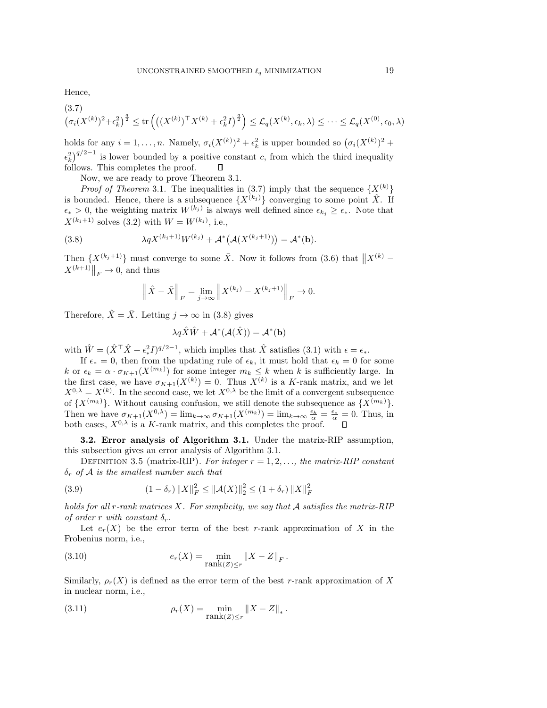Hence,

$$
(3.7) \left(\sigma_i(X^{(k)})^2 + \epsilon_k^2\right)^{\frac{q}{2}} \le \text{tr}\left(\left((X^{(k)})^\top X^{(k)} + \epsilon_k^2 I\right)^{\frac{q}{2}}\right) \le \mathcal{L}_q(X^{(k)}, \epsilon_k, \lambda) \le \cdots \le \mathcal{L}_q(X^{(0)}, \epsilon_0, \lambda)
$$

holds for any  $i = 1, ..., n$ . Namely,  $\sigma_i(X^{(k)})^2 + \epsilon_k^2$  is upper bounded so  $(\sigma_i(X^{(k)})^2 +$  $\left(\epsilon_k^2\right)^{q/2-1}$  is lower bounded by a positive constant c, from which the third inequality follows. This completes the proof.

Now, we are ready to prove Theorem 3.1.

*Proof of Theorem* 3.1. The inequalities in  $(3.7)$  imply that the sequence  $\{X^{(k)}\}$ is bounded. Hence, there is a subsequence  $\{X^{(k_j)}\}$  converging to some point  $\hat{X}$ . If  $\epsilon_* > 0$ , the weighting matrix  $W^{(k_j)}$  is always well defined since  $\epsilon_{k_j} \geq \epsilon_*$ . Note that  $X^{(k_j+1)}$  solves (3.2) with  $W = W^{(k_j)}$ , i.e.,

(3.8) 
$$
\lambda q X^{(k_j+1)} W^{(k_j)} + \mathcal{A}^* \big( \mathcal{A} (X^{(k_j+1)}) \big) = \mathcal{A}^* (\mathbf{b}).
$$

Then  $\{X^{(k_j+1)}\}$  must converge to some  $\bar{X}$ . Now it follows from (3.6) that  $||X^{(k)} - X^{(k+1)||}||$  $X^{(k+1)}\big\|_F \to 0$ , and thus

$$
\|\hat{X} - \bar{X}\|_F = \lim_{j \to \infty} \|X^{(k_j)} - X^{(k_j+1)}\|_F \to 0.
$$

Therefore,  $\hat{X} = \overline{X}$ . Letting  $j \to \infty$  in (3.8) gives

$$
\lambda q \hat{X} \hat{W} + \mathcal{A}^*(\mathcal{A}(\hat{X})) = \mathcal{A}^*(\mathbf{b})
$$

with  $\hat{W} = (\hat{X}^\top \hat{X} + \epsilon_*^2 I)^{q/2-1}$ , which implies that  $\hat{X}$  satisfies (3.1) with  $\epsilon = \epsilon_*$ .

If  $\epsilon_* = 0$ , then from the updating rule of  $\epsilon_k$ , it must hold that  $\epsilon_k = 0$  for some k or  $\epsilon_k = \alpha \cdot \sigma_{K+1}(X^{(m_k)})$  for some integer  $m_k \leq k$  when k is sufficiently large. In the first case, we have  $\sigma_{K+1}(X^{(k)})=0$ . Thus  $X^{(k)}$  is a K-rank matrix, and we let  $X^{0,\lambda} = X^{(k)}$ . In the second case, we let  $X^{0,\lambda}$  be the limit of a convergent subsequence of  $\{X^{(m_k)}\}$ . Without causing confusion, we still denote the subsequence as  $\{X^{(m_k)}\}$ . Then we have  $\sigma_{K+1}(X^{0,\lambda}) = \lim_{k \to \infty} \sigma_{K+1}(X^{(m_k)}) = \lim_{k \to \infty} \frac{\epsilon_k}{\alpha} = \frac{\epsilon_*}{\alpha} = 0$ . Thus, in both cases,  $X^{0,\lambda}$  is a K-rank matrix, and this completes the proof.

**3.2. Error analysis of Algorithm 3.1.** Under the matrix-RIP assumption, this subsection gives an error analysis of Algorithm 3.1.

DEFINITION 3.5 (matrix-RIP). For integer  $r = 1, 2, \ldots$ , the matrix-RIP constant δ<sup>r</sup> *of* A *is the smallest number such that*

(3.9) 
$$
(1 - \delta_r) \|X\|_F^2 \le \|\mathcal{A}(X)\|_2^2 \le (1 + \delta_r) \|X\|_F^2
$$

*holds for all* r*-rank matrices* X*. For simplicity, we say that* A *satisfies the matrix-RIP of order* r *with constant*  $\delta_r$ *.* 

Let  $e_r(X)$  be the error term of the best r-rank approximation of X in the Frobenius norm, i.e.,

(3.10) 
$$
e_r(X) = \min_{\text{rank}(Z) \le r} ||X - Z||_F.
$$

Similarly,  $\rho_r(X)$  is defined as the error term of the best r-rank approximation of X in nuclear norm, i.e.,

(3.11) 
$$
\rho_r(X) = \min_{\text{rank}(Z) \le r} ||X - Z||_*.
$$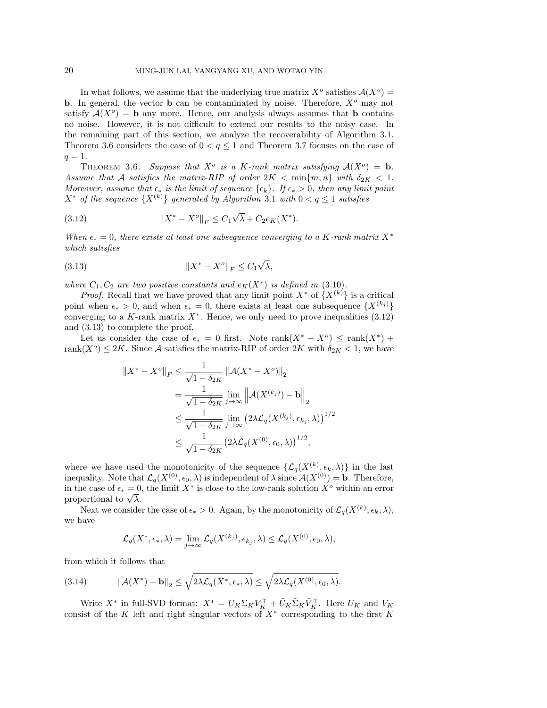In what follows, we assume that the underlying true matrix  $X^o$  satisfies  $\mathcal{A}(X^o)$  = **b**. In general, the vector **b** can be contaminated by noise. Therefore,  $X^o$  may not satisfy  $A(X^{\circ}) = \mathbf{b}$  any more. Hence, our analysis always assumes that **b** contains no noise. However, it is not difficult to extend our results to the noisy case. In the remaining part of this section, we analyze the recoverability of Algorithm 3.1. Theorem 3.6 considers the case of  $0 < q \le 1$  and Theorem 3.7 focuses on the case of  $q=1.$ 

THEOREM 3.6. Suppose that  $X^o$  is a K-rank matrix satisfying  $A(X^o) = \mathbf{b}$ . *Assume that* A *satisfies the matrix-RIP of order*  $2K < \min\{m, n\}$  *with*  $\delta_{2K} < 1$ *. Moreover, assume that*  $\epsilon_*$  *is the limit of sequence*  $\{\epsilon_k\}$ *. If*  $\epsilon_* > 0$ *, then any limit point*  $X^*$  *of the sequence*  $\{X^{(k)}\}$  *generated by Algorithm* 3.1 *with*  $0 < q \leq 1$  *satisfies* 

(3.12) 
$$
||X^* - X^o||_F \le C_1 \sqrt{\lambda} + C_2 e_K(X^*).
$$

*When*  $\epsilon_* = 0$ , there exists at least one subsequence converging to a K-rank matrix  $X^*$ *which satisfies*

(3.13) X<sup>∗</sup> <sup>−</sup> <sup>X</sup><sup>o</sup><sup>F</sup> <sup>≤</sup> <sup>C</sup><sup>1</sup> √ λ,

*where*  $C_1, C_2$  *are two positive constants and*  $e_K(X^*)$  *is defined in* (3.10)*.* 

*Proof.* Recall that we have proved that any limit point  $X^*$  of  $\{X^{(k)}\}$  is a critical point when  $\epsilon_* > 0$ , and when  $\epsilon_* = 0$ , there exists at least one subsequence  $\{X^{(k_j)}\}$ converging to a K-rank matrix  $X^*$ . Hence, we only need to prove inequalities (3.12) and (3.13) to complete the proof.

Let us consider the case of  $\epsilon_* = 0$  first. Note rank $(X^* - X^o) \leq \text{rank}(X^*)$  + rank $(X^o) \leq 2K$ . Since A satisfies the matrix-RIP of order  $2K$  with  $\delta_{2K} < 1$ , we have

$$
\begin{split} \|X^* - X^o\|_F &\leq \frac{1}{\sqrt{1 - \delta_{2K}}} \left\| \mathcal{A}(X^* - X^o) \right\|_2 \\ &= \frac{1}{\sqrt{1 - \delta_{2K}}} \lim_{j \to \infty} \left\| \mathcal{A}(X^{(k_j)}) - \mathbf{b} \right\|_2 \\ &\leq \frac{1}{\sqrt{1 - \delta_{2K}}} \lim_{j \to \infty} \left( 2\lambda \mathcal{L}_q(X^{(k_j)}, \epsilon_{k_j}, \lambda) \right)^{1/2} \\ &\leq \frac{1}{\sqrt{1 - \delta_{2K}}} \left( 2\lambda \mathcal{L}_q(X^{(0)}, \epsilon_0, \lambda) \right)^{1/2}, \end{split}
$$

where we have used the monotonicity of the sequence  $\{\mathcal{L}_q(X^{(k)}, \epsilon_k, \lambda)\}\$ in the last inequality. Note that  $\mathcal{L}_{q}(X^{(0)}, \epsilon_0, \lambda)$  is independent of  $\lambda$  since  $\mathcal{A}(X^{(0)}) = \mathbf{b}$ . Therefore, in the case of  $\epsilon_* = 0$ , the limit  $X^*$  is close to the low-rank solution  $X^o$  within an error in the case of  $\epsilon_* = 0$ <br>proportional to  $\sqrt{\lambda}$ .

Next we consider the case of  $\epsilon_* > 0$ . Again, by the monotonicity of  $\mathcal{L}_q(X^{(k)}, \epsilon_k, \lambda)$ , we have

$$
\mathcal{L}_q(X^*, \epsilon_*, \lambda) = \lim_{j \to \infty} \mathcal{L}_q(X^{(k_j)}, \epsilon_{k_j}, \lambda) \leq \mathcal{L}_q(X^{(0)}, \epsilon_0, \lambda),
$$

from which it follows that

(3.14) 
$$
\|\mathcal{A}(X^*) - \mathbf{b}\|_2 \le \sqrt{2\lambda \mathcal{L}_q(X^*, \epsilon_*, \lambda)} \le \sqrt{2\lambda \mathcal{L}_q(X^{(0)}, \epsilon_0, \lambda)}.
$$

Write  $X^*$  in full-SVD format:  $X^* = U_K \Sigma_K V_K^\top + \tilde{U}_K \tilde{\Sigma}_K \tilde{V}_K^\top$ . Here  $U_K$  and  $V_K$ consist of the K left and right singular vectors of  $X^*$  corresponding to the first K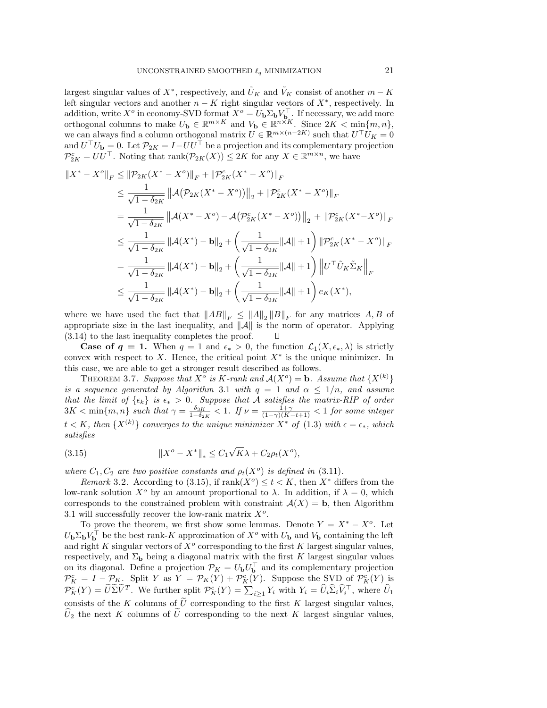largest singular values of  $X^*$ , respectively, and  $\tilde{U}_K$  and  $\tilde{V}_K$  consist of another  $m - K$ left singular vectors and another  $n - K$  right singular vectors of  $X^*$ , respectively. In addition, write  $X^o$  in economy-SVD format  $X^o = U_b \Sigma_b V_{b}^\top$ . If necessary, we add more orthogonal columns to make  $U_{\mathbf{b}} \in \mathbb{R}^{m \times K}$  and  $V_{\mathbf{b}} \in \mathbb{R}^{n \times K}$ . Since  $2K < \min\{m, n\}$ , we can always find a column orthogonal matrix  $U \in \mathbb{R}^{m \times (n-2K)}$  such that  $U^{\top}U_K = 0$ and  $U^{\top} U_{\mathbf{b}} = 0$ . Let  $\mathcal{P}_{2K} = I - U U^{\top}$  be a projection and its complementary projection  $\mathcal{P}_{2K}^c = U U^{\top}$ . Noting that  $\text{rank}(\mathcal{P}_{2K}(X)) \leq 2K$  for any  $X \in \mathbb{R}^{m \times n}$ , we have

$$
\begin{split} \|X^* - X^o\|_F &\leq \|\mathcal{P}_{2K}(X^* - X^o)\|_F + \|\mathcal{P}_{2K}^c(X^* - X^o)\|_F \\ &\leq \frac{1}{\sqrt{1 - \delta_{2K}}} \left\| \mathcal{A}(\mathcal{P}_{2K}(X^* - X^o)) \right\|_2 + \|\mathcal{P}_{2K}^c(X^* - X^o)\|_F \\ &= \frac{1}{\sqrt{1 - \delta_{2K}}} \left\| \mathcal{A}(X^* - X^o) - \mathcal{A}(\mathcal{P}_{2K}^c(X^* - X^o)) \right\|_2 + \|\mathcal{P}_{2K}^c(X^* - X^o)\|_F \\ &\leq \frac{1}{\sqrt{1 - \delta_{2K}}} \left\| \mathcal{A}(X^*) - \mathbf{b} \right\|_2 + \left(\frac{1}{\sqrt{1 - \delta_{2K}}} \|\mathcal{A}\| + 1\right) \left\| \mathcal{P}_{2K}^c(X^* - X^o) \right\|_F \\ &= \frac{1}{\sqrt{1 - \delta_{2K}}} \left\| \mathcal{A}(X^*) - \mathbf{b} \right\|_2 + \left(\frac{1}{\sqrt{1 - \delta_{2K}}} \|\mathcal{A}\| + 1\right) \left\| U^\top \tilde{U}_K \tilde{\Sigma}_K \right\|_F \\ &\leq \frac{1}{\sqrt{1 - \delta_{2K}}} \left\| \mathcal{A}(X^*) - \mathbf{b} \right\|_2 + \left(\frac{1}{\sqrt{1 - \delta_{2K}}} \|\mathcal{A}\| + 1\right) e_K(X^*), \end{split}
$$

where we have used the fact that  $||AB||_F \leq ||A||_2 ||B||_F$  for any matrices A, B of appropriate size in the last inequality, and  $||A||$  is the norm of operator. Applying (3.14) to the last inequality completes the proof. ▯

**Case of**  $q = 1$ . When  $q = 1$  and  $\epsilon_* > 0$ , the function  $\mathcal{L}_1(X, \epsilon_*, \lambda)$  is strictly convex with respect to X. Hence, the critical point  $X^*$  is the unique minimizer. In this case, we are able to get a stronger result described as follows.

THEOREM 3.7. Suppose that  $X^{\delta}$  is K-rank and  $\mathcal{A}(X^{\delta}) = \mathbf{b}$ . Assume that  $\{X^{(k)}\}$ *is a sequence generated by Algorithm* 3.1 *with*  $q = 1$  *and*  $\alpha \leq 1/n$ *, and assume that the limit of*  $\{\epsilon_k\}$  *is*  $\epsilon_* > 0$ . Suppose that A satisfies the matrix-RIP of order  $3K < \min\{m, n\}$  such that  $\gamma = \frac{\delta_{3K}}{1-\delta_{2K}} < 1$ . If  $\nu = \frac{1+\gamma}{(1-\gamma)(K-t+1)} < 1$  for some integer  $t < K$ , then  $\{X^{(k)}\}$  converges to the unique minimizer  $X^*$  of  $(1.3)$  with  $\epsilon = \epsilon_*$ , which *satisfies*

(3.15) 
$$
||X^{o} - X^{*}||_{*} \leq C_{1} \sqrt{K} \lambda + C_{2} \rho_{t}(X^{o}),
$$

*where*  $C_1, C_2$  *are two positive constants and*  $\rho_t(X^o)$  *is defined in* (3.11)*.* 

*Remark* 3.2. According to (3.15), if  $\text{rank}(X^o) \leq t < K$ , then  $X^*$  differs from the low-rank solution  $X^{\circ}$  by an amount proportional to  $\lambda$ . In addition, if  $\lambda = 0$ , which corresponds to the constrained problem with constraint  $\mathcal{A}(X) = \mathbf{b}$ , then Algorithm 3.1 will successfully recover the low-rank matrix  $X^o$ .

To prove the theorem, we first show some lemmas. Denote  $Y = X^* - X^o$ . Let  $U_{\bf{b}}\Sigma_{\bf{b}}V_{\bf{b}}^{\dagger}$  be the best rank-K approximation of  $X^o$  with  $U_{\bf{b}}$  and  $V_{\bf{b}}$  containing the left and right K singular vectors of  $X^o$  corresponding to the first K largest singular values, respectively, and  $\Sigma_{\mathbf{b}}$  being a diagonal matrix with the first K largest singular values on its diagonal. Define a projection  $\mathcal{P}_K = U_{\bf{b}} U_{\bf{b}}^\top$  and its complementary projection  $\mathcal{P}_{K}^{c} = I - \mathcal{P}_{K}$ . Split Y as  $Y = \mathcal{P}_{K}(Y) + \mathcal{P}_{K}^{c}(Y)$ . Suppose the SVD of  $\mathcal{P}_{K}^{c}(Y)$  is  $\mathcal{P}_K^c(Y) = \widetilde{U} \widetilde{\Sigma} \widetilde{V}^T$ . We further split  $\mathcal{P}_K^c(Y) = \sum_{i \geq 1} Y_i$  with  $Y_i = \widehat{U}_i \widehat{\Sigma}_i \widehat{V}_i^T$ , where  $\widehat{U}_1$ consists of the K columns of  $\tilde{U}$  corresponding to the first K largest singular values,  $U_2$  the next K columns of U corresponding to the next K largest singular values,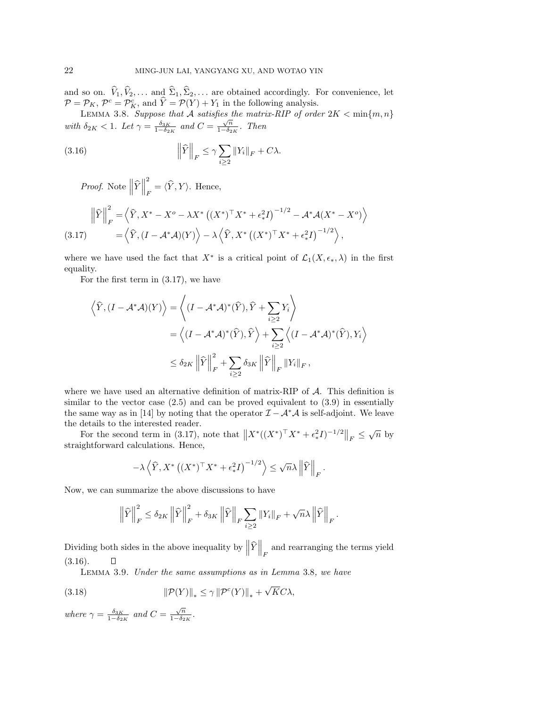and so on.  $\hat{V}_1, \hat{V}_2, \dots$  and  $\hat{\Sigma}_1, \hat{\Sigma}_2, \dots$  are obtained accordingly. For convenience, let  $\mathcal{P} = \mathcal{P}_K$ ,  $\mathcal{P}^c = \mathcal{P}_K^c$ , and  $\hat{Y} = \mathcal{P}(Y) + Y_1$  in the following analysis.<br>LEMMA 3.8. Suppose that A sat

with  $\delta_{2K} < 1$ . Let  $\gamma = \frac{\delta_{3K}}{1-\delta_{2K}}$  and  $C = \frac{\sqrt{n}}{1-\delta_{2K}}$ . Then

(3.16) 
$$
\left\|\widehat{Y}\right\|_F \leq \gamma \sum_{i\geq 2} \|Y_i\|_F + C\lambda.
$$

*Proof.* Note  $\left\|\hat{Y}\right\|$ 2  $\sum_{F}^{\sim} = \langle \widehat{Y}, Y \rangle$ . Hence,

$$
\left\|\widehat{Y}\right\|_{F}^{2} = \left\langle \widehat{Y}, X^{*} - X^{o} - \lambda X^{*} \left( (X^{*})^{\top} X^{*} + \epsilon_{*}^{2} I \right)^{-1/2} - \mathcal{A}^{*} \mathcal{A} (X^{*} - X^{o}) \right\rangle
$$
\n
$$
(3.17) \qquad \qquad = \left\langle \widehat{Y}, (I - \mathcal{A}^{*} \mathcal{A})(Y) \right\rangle - \lambda \left\langle \widehat{Y}, X^{*} \left( (X^{*})^{\top} X^{*} + \epsilon_{*}^{2} I \right)^{-1/2} \right\rangle,
$$

where we have used the fact that  $X^*$  is a critical point of  $\mathcal{L}_1(X, \epsilon_*, \lambda)$  in the first equality.

For the first term in (3.17), we have

$$
\left\langle \hat{Y}, (I - A^*A)(Y) \right\rangle = \left\langle (I - A^*A)^*(\hat{Y}), \hat{Y} + \sum_{i \ge 2} Y_i \right\rangle
$$
  
=  $\left\langle (I - A^*A)^*(\hat{Y}), \hat{Y} \right\rangle + \sum_{i \ge 2} \left\langle (I - A^*A)^*(\hat{Y}), Y_i \right\rangle$   
 $\le \delta_{2K} ||\hat{Y}||_F^2 + \sum_{i \ge 2} \delta_{3K} ||\hat{Y}||_F ||Y_i||_F,$ 

where we have used an alternative definition of matrix-RIP of  $A$ . This definition is similar to the vector case  $(2.5)$  and can be proved equivalent to  $(3.9)$  in essentially the same way as in [14] by noting that the operator  $\mathcal{I}-\mathcal{A}^*\mathcal{A}$  is self-adjoint. We leave the details to the interested reader.

For the second term in (3.17), note that  $||X^*((X^*)^\top X^* + \epsilon_*^2 I)^{-1/2}||_F \leq \sqrt{n}$  by straightforward calculations. Hence,

$$
-\lambda \left\langle \widehat{Y}, X^* \left( (X^*)^\top X^* + \epsilon_*^2 I \right)^{-1/2} \right\rangle \le \sqrt{n} \lambda \left\| \widehat{Y} \right\|_F.
$$

Now, we can summarize the above discussions to have

$$
\left\|\widehat{Y}\right\|_{F}^{2} \leq \delta_{2K} \left\|\widehat{Y}\right\|_{F}^{2} + \delta_{3K} \left\|\widehat{Y}\right\|_{F} \sum_{i \geq 2} \left\|Y_{i}\right\|_{F} + \sqrt{n}\lambda \left\|\widehat{Y}\right\|_{F}.
$$

Dividing both sides in the above inequality by  $\left\|\widehat{Y}\right\|_F$  and rearranging the terms yield (3.16).  $\Box$ 

Lemma 3.9. *Under the same assumptions as in Lemma* 3.8*, we have*

(3.18) 
$$
\|\mathcal{P}(Y)\|_* \leq \gamma \|\mathcal{P}^c(Y)\|_* + \sqrt{K}C\lambda,
$$

*where*  $\gamma = \frac{\delta_{3K}}{1-\delta_{2K}}$  *and*  $C = \frac{\sqrt{n}}{1-\delta_{2K}}$ *.*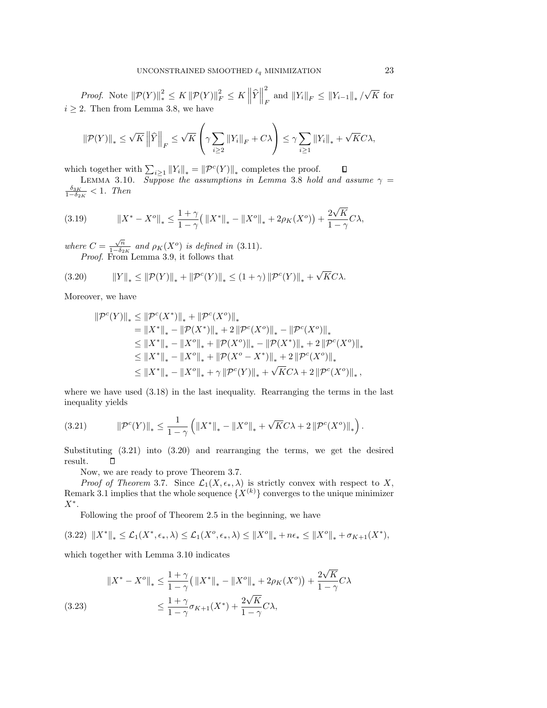*Proof.* Note  $||\mathcal{P}(Y)||_*^2 \leq K ||\mathcal{P}(Y)||_F^2 \leq K ||\hat{Y}||$ 2 2<br>F and  $||Y_i||_F ≤ ||Y_{i-1}||_* / \sqrt{K}$  for  $i > 2$ . Then from Lemma 3.8, we have

$$
\|\mathcal{P}(Y)\|_{*} \leq \sqrt{K} \left\|\widehat{Y}\right\|_{F} \leq \sqrt{K} \left(\gamma \sum_{i\geq 2} \|Y_{i}\|_{F} + C\lambda\right) \leq \gamma \sum_{i\geq 1} \|Y_{i}\|_{*} + \sqrt{K}C\lambda,
$$

which together with  $\sum_{i\geq 1} ||Y_i||_* = ||\mathcal{P}^c(Y)||_*$  completes the proof.

LEMMA 3.10. *Suppose the assumptions in Lemma* 3.8 *hold and assume*  $\gamma = \delta_{3K}$  < 1 *Then*  $\frac{\delta_{3K}}{1-\delta_{2K}}$  < 1*. Then* 

(3.19) 
$$
\|X^* - X^o\|_* \le \frac{1+\gamma}{1-\gamma} \left(\|X^*\|_* - \|X^o\|_* + 2\rho_K(X^o)\right) + \frac{2\sqrt{K}}{1-\gamma}C\lambda,
$$

*where*  $C = \frac{\sqrt{n}}{1-\delta_{2K}}$  *and*  $\rho_K(X^o)$  *is defined in* (3.11)*. Proof.* From Lemma 3.9, it follows that

(3.20) 
$$
||Y||_* \le ||\mathcal{P}(Y)||_* + ||\mathcal{P}^c(Y)||_* \le (1+\gamma) ||\mathcal{P}^c(Y)||_* + \sqrt{K}C\lambda.
$$

Moreover, we have

$$
\begin{aligned} \|\mathcal{P}^{c}(Y)\|_{*} &\leq \|\mathcal{P}^{c}(X^{*})\|_{*}+\|\mathcal{P}^{c}(X^{o})\|_{*} \\ &=\|X^{*}\|_{*}-\|\mathcal{P}(X^{*})\|_{*}+2\left\|\mathcal{P}^{c}(X^{o})\right\|_{*}-\left\|\mathcal{P}^{c}(X^{o})\right\|_{*} \\ &\leq \|X^{*}\|_{*}-\|X^{o}\|_{*}+\|\mathcal{P}(X^{o})\|_{*}-\|\mathcal{P}(X^{*})\|_{*}+2\left\|\mathcal{P}^{c}(X^{o})\right\|_{*} \\ &\leq \|X^{*}\|_{*}-\|X^{o}\|_{*}+\|\mathcal{P}(X^{o}-X^{*})\|_{*}+2\left\|\mathcal{P}^{c}(X^{o})\right\|_{*} \\ &\leq \|X^{*}\|_{*}-\|X^{o}\|_{*}+\gamma\left\|\mathcal{P}^{c}(Y)\right\|_{*}+\sqrt{KC}\lambda+2\left\|\mathcal{P}^{c}(X^{o})\right\|_{*}, \end{aligned}
$$

where we have used (3.18) in the last inequality. Rearranging the terms in the last inequality yields

(3.21) 
$$
\|\mathcal{P}^c(Y)\|_* \leq \frac{1}{1-\gamma} \left( \|X^*\|_* - \|X^o\|_* + \sqrt{K}C\lambda + 2\|\mathcal{P}^c(X^o)\|_* \right).
$$

Substituting (3.21) into (3.20) and rearranging the terms, we get the desired result.  $\Box$ 

Now, we are ready to prove Theorem 3.7.

*Proof of Theorem* 3.7. Since  $\mathcal{L}_1(X, \epsilon_*, \lambda)$  is strictly convex with respect to X, Remark 3.1 implies that the whole sequence  $\{X^{(k)}\}$  converges to the unique minimizer  $X^*$ .

Following the proof of Theorem 2.5 in the beginning, we have

$$
(3.22) \|X^*\|_* \leq \mathcal{L}_1(X^*, \epsilon_*, \lambda) \leq \mathcal{L}_1(X^o, \epsilon_*, \lambda) \leq \|X^o\|_* + n\epsilon_* \leq \|X^o\|_* + \sigma_{K+1}(X^*),
$$

which together with Lemma 3.10 indicates

$$
||X^* - X^o||_* \le \frac{1+\gamma}{1-\gamma} \left( ||X^*||_* - ||X^o||_* + 2\rho_K(X^o) \right) + \frac{2\sqrt{K}}{1-\gamma} C\lambda
$$
\n
$$
\le \frac{1+\gamma}{1-\gamma} \sigma_{K+1}(X^*) + \frac{2\sqrt{K}}{1-\gamma} C\lambda,
$$
\n(3.23)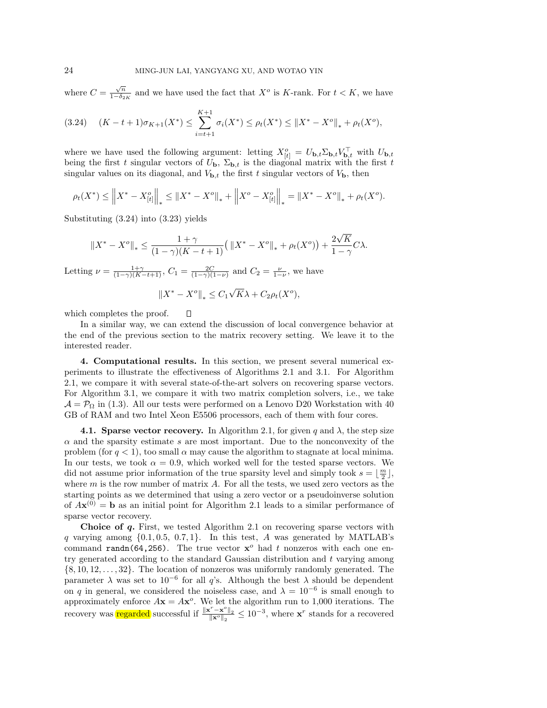where  $C = \frac{\sqrt{n}}{1-\delta_{2K}}$  and we have used the fact that  $X^o$  is K-rank. For  $t < K$ , we have

$$
(3.24) \quad (K - t + 1)\sigma_{K+1}(X^*) \le \sum_{i=t+1}^{K+1} \sigma_i(X^*) \le \rho_t(X^*) \le ||X^* - X^o||_* + \rho_t(X^o),
$$

where we have used the following argument: letting  $X_{[t]}^o = U_{\mathbf{b},t} \Sigma_{\mathbf{b},t} V_{\mathbf{b},t}^\top$  with  $U_{\mathbf{b},t}$ being the first t singular vectors of  $U_{\mathbf{b}}$ ,  $\Sigma_{\mathbf{b},t}$  is the diagonal matrix with the first t singular values on its diagonal, and  $V_{\mathbf{b},t}$  the first t singular vectors of  $V_{\mathbf{b}}$ , then

$$
\rho_t(X^*) \leq \left\| X^* - X_{[t]}^o \right\|_* \leq \left\| X^* - X^o \right\|_* + \left\| X^o - X_{[t]}^o \right\|_* = \left\| X^* - X^o \right\|_* + \rho_t(X^o).
$$

Substituting (3.24) into (3.23) yields

$$
\|X^* - X^o\|_* \le \frac{1+\gamma}{(1-\gamma)(K-t+1)} \left( \|X^* - X^o\|_* + \rho_t(X^o) \right) + \frac{2\sqrt{K}}{1-\gamma} C\lambda.
$$

Letting  $\nu = \frac{1+\gamma}{(1-\gamma)(K-t+1)}$ ,  $C_1 = \frac{2C}{(1-\gamma)(1-\nu)}$  and  $C_2 = \frac{\nu}{1-\nu}$ , we have

 $\Box$ 

$$
\left\|X^* - X^o\right\|_* \le C_1 \sqrt{K}\lambda + C_2 \rho_t(X^o),
$$

which completes the proof.

In a similar way, we can extend the discussion of local convergence behavior at the end of the previous section to the matrix recovery setting. We leave it to the interested reader.

**4. Computational results.** In this section, we present several numerical experiments to illustrate the effectiveness of Algorithms 2.1 and 3.1. For Algorithm 2.1, we compare it with several state-of-the-art solvers on recovering sparse vectors. For Algorithm 3.1, we compare it with two matrix completion solvers, i.e., we take  $\mathcal{A} = \mathcal{P}_{\Omega}$  in (1.3). All our tests were performed on a Lenovo D20 Workstation with 40 GB of RAM and two Intel Xeon E5506 processors, each of them with four cores.

**4.1. Sparse vector recovery.** In Algorithm 2.1, for given q and  $\lambda$ , the step size  $\alpha$  and the sparsity estimate s are most important. Due to the nonconvexity of the problem (for  $q < 1$ ), too small  $\alpha$  may cause the algorithm to stagnate at local minima. In our tests, we took  $\alpha = 0.9$ , which worked well for the tested sparse vectors. We did not assume prior information of the true sparsity level and simply took  $s = \lfloor \frac{m}{2} \rfloor$ , where  $m$  is the row number of matrix  $A$ . For all the tests, we used zero vectors as the starting points as we determined that using a zero vector or a pseudoinverse solution of  $A\mathbf{x}^{(0)} = \mathbf{b}$  as an initial point for Algorithm 2.1 leads to a similar performance of sparse vector recovery.

**Choice of** *q***.** First, we tested Algorithm 2.1 on recovering sparse vectors with q varying among  $\{0.1, 0.5, 0.7, 1\}$ . In this test, A was generated by MATLAB's command randn(64,256). The true vector  $x^{\circ}$  had t nonzeros with each one entry generated according to the standard Gaussian distribution and  $t$  varying among  $\{8, 10, 12, \ldots, 32\}$ . The location of nonzeros was uniformly randomly generated. The parameter  $\lambda$  was set to 10<sup>-6</sup> for all q's. Although the best  $\lambda$  should be dependent on q in general, we considered the noiseless case, and  $\lambda = 10^{-6}$  is small enough to approximately enforce  $A\mathbf{x} = A\mathbf{x}^o$ . We let the algorithm run to 1,000 iterations. The recovery was regarded successful if  $\frac{\|\mathbf{x}^r - \mathbf{x}^o\|_2}{\|\mathbf{x}^o\|_2} \le 10^{-3}$ , where  $\mathbf{x}^r$  stands for a recovered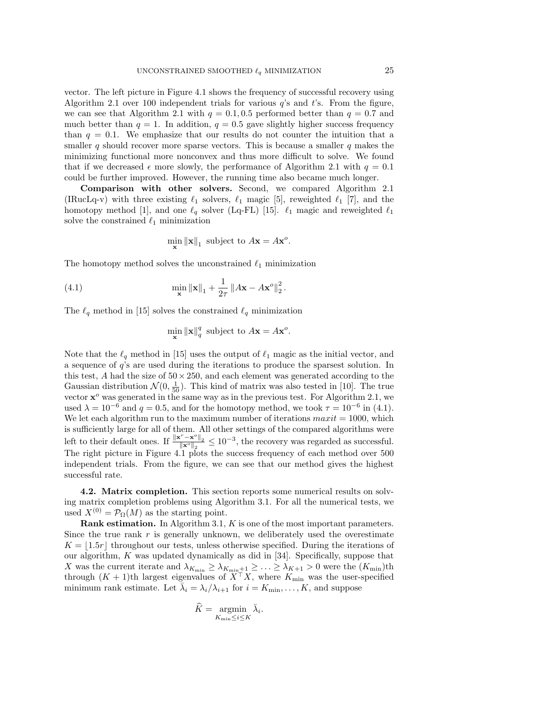vector. The left picture in Figure 4.1 shows the frequency of successful recovery using Algorithm 2.1 over 100 independent trials for various  $q$ 's and  $t$ 's. From the figure, we can see that Algorithm 2.1 with  $q = 0.1, 0.5$  performed better than  $q = 0.7$  and much better than  $q = 1$ . In addition,  $q = 0.5$  gave slightly higher success frequency than  $q = 0.1$ . We emphasize that our results do not counter the intuition that a smaller q should recover more sparse vectors. This is because a smaller q makes the minimizing functional more nonconvex and thus more difficult to solve. We found that if we decreased  $\epsilon$  more slowly, the performance of Algorithm 2.1 with  $q = 0.1$ could be further improved. However, the running time also became much longer.

**Comparison with other solvers.** Second, we compared Algorithm 2.1 (IRucLq-v) with three existing  $\ell_1$  solvers,  $\ell_1$  magic [5], reweighted  $\ell_1$  [7], and the homotopy method [1], and one  $\ell_q$  solver (Lq-FL) [15].  $\ell_1$  magic and reweighted  $\ell_1$ solve the constrained  $\ell_1$  minimization

$$
\min_{\mathbf{x}} \|\mathbf{x}\|_1 \text{ subject to } A\mathbf{x} = A\mathbf{x}^o.
$$

The homotopy method solves the unconstrained  $\ell_1$  minimization

(4.1) 
$$
\min_{\mathbf{x}} \|\mathbf{x}\|_{1} + \frac{1}{2\tau} \|A\mathbf{x} - A\mathbf{x}^{\circ}\|_{2}^{2}.
$$

The  $\ell_q$  method in [15] solves the constrained  $\ell_q$  minimization

$$
\min_{\mathbf{x}} \|\mathbf{x}\|_q^q \text{ subject to } A\mathbf{x} = A\mathbf{x}^o.
$$

Note that the  $\ell_q$  method in [15] uses the output of  $\ell_1$  magic as the initial vector, and a sequence of q's are used during the iterations to produce the sparsest solution. In this test, A had the size of  $50 \times 250$ , and each element was generated according to the Gaussian distribution  $\mathcal{N}(0, \frac{1}{50})$ . This kind of matrix was also tested in [10]. The true vector  $\mathbf{x}^o$  was generated in the same way as in the previous test. For Algorithm 2.1, we used  $\lambda = 10^{-6}$  and  $q = 0.5$ , and for the homotopy method, we took  $\tau = 10^{-6}$  in (4.1). We let each algorithm run to the maximum number of iterations  $maxit = 1000$ , which is sufficiently large for all of them. All other settings of the compared algorithms were left to their default ones. If  $\frac{\|\mathbf{x}^r - \mathbf{x}^o\|_2}{\|\mathbf{x}^o\|_2} \leq 10^{-3}$ , the recovery was regarded as successful. The right picture in Figure 4.1 plots the success frequency of each method over 500 independent trials. From the figure, we can see that our method gives the highest successful rate.

**4.2. Matrix completion.** This section reports some numerical results on solving matrix completion problems using Algorithm 3.1. For all the numerical tests, we used  $X^{(0)} = \mathcal{P}_{\Omega}(M)$  as the starting point.

**Rank estimation.** In Algorithm 3.1, K is one of the most important parameters. Since the true rank  $r$  is generally unknown, we deliberately used the overestimate  $K = |1.5r|$  throughout our tests, unless otherwise specified. During the iterations of our algorithm, K was updated dynamically as did in [34]. Specifically, suppose that X was the current iterate and  $\lambda_{K_{\min}} \geq \lambda_{K_{\min}+1} \geq \ldots \geq \lambda_{K+1} > 0$  were the  $(K_{\min})$ th through  $(K + 1)$ th largest eigenvalues of  $X^{\top} X$ , where  $K_{\text{min}}$  was the user-specified minimum rank estimate. Let  $\bar{\lambda}_i = \lambda_i / \lambda_{i+1}$  for  $i = K_{\min}, \ldots, K$ , and suppose

$$
\widehat{K} = \operatorname*{argmin}_{K_{\min} \le i \le K} \bar{\lambda}_i.
$$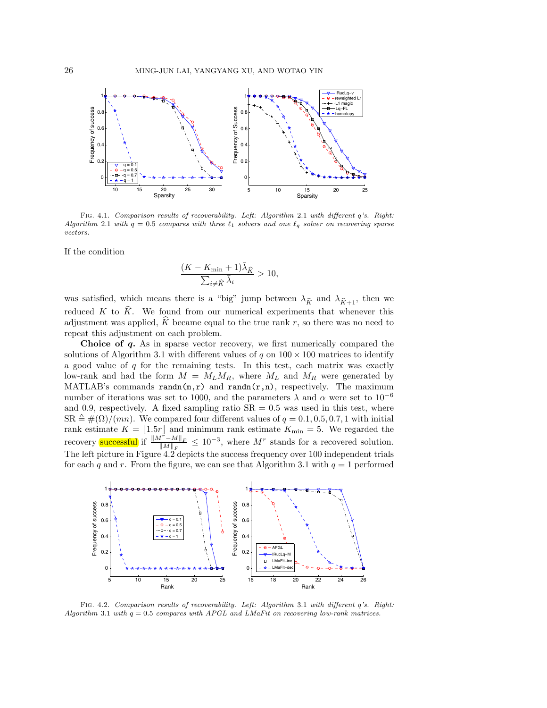

Fig. 4.1. Comparison results of recoverability. Left: Algorithm 2.1 with different q's. Right: Algorithm 2.1 with  $q = 0.5$  compares with three  $\ell_1$  solvers and one  $\ell_q$  solver on recovering sparse vectors.

If the condition

$$
\frac{(K - K_{\min} + 1)\bar{\lambda}_{\hat{K}}}{\sum_{i \neq \hat{K}} \bar{\lambda}_i} > 10,
$$

 $\sum_{i \neq \hat{K}} \lambda_i$ <br>was satisfied, which means there is a "big" jump between  $\lambda_{\hat{K}}$  and  $\lambda_{\hat{K}+1}$ , then we reduced K to  $\hat{K}$ . We found from our numerical experiments that whenever this adjustment was applied,  $\tilde{K}$  became equal to the true rank r, so there was no need to repeat this adjustment on each problem.

**Choice of** *q***.** As in sparse vector recovery, we first numerically compared the solutions of Algorithm 3.1 with different values of q on  $100 \times 100$  matrices to identify a good value of  $q$  for the remaining tests. In this test, each matrix was exactly low-rank and had the form  $M = M_L M_R$ , where  $M_L$  and  $M_R$  were generated by MATLAB's commands  $\text{randn}(m,r)$  and  $\text{randn}(r,n)$ , respectively. The maximum number of iterations was set to 1000, and the parameters  $\lambda$  and  $\alpha$  were set to 10<sup>-6</sup> and 0.9, respectively. A fixed sampling ratio  $SR = 0.5$  was used in this test, where  $SR \triangleq \#(\Omega)/(mn)$ . We compared four different values of  $q = 0.1, 0.5, 0.7, 1$  with initial rank estimate  $K = \lfloor 1.5r \rfloor$  and minimum rank estimate  $K_{\min} = 5$ . We regarded the recovery successful if  $\frac{\|M^{\tilde{r}}-M\|_F}{\|M\|_F} \leq 10^{-3}$ , where M<sup>r</sup> stands for a recovered solution. The left picture in Figure 4.2 depicts the success frequency over 100 independent trials for each q and r. From the figure, we can see that Algorithm 3.1 with  $q = 1$  performed



Fig. 4.2. Comparison results of recoverability. Left: Algorithm 3.1 with different q's. Right: Algorithm 3.1 with  $q = 0.5$  compares with APGL and LMaFit on recovering low-rank matrices.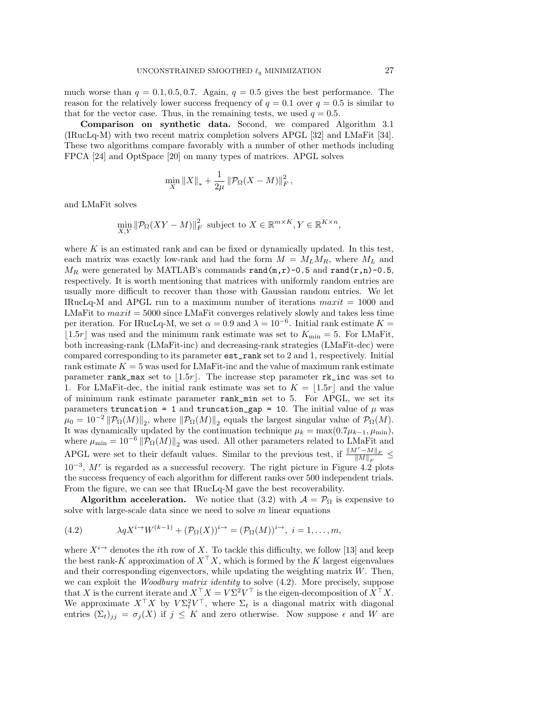much worse than  $q = 0.1, 0.5, 0.7$ . Again,  $q = 0.5$  gives the best performance. The reason for the relatively lower success frequency of  $q = 0.1$  over  $q = 0.5$  is similar to that for the vector case. Thus, in the remaining tests, we used  $q = 0.5$ .

**Comparison on synthetic data.** Second, we compared Algorithm 3.1 (IRucLq-M) with two recent matrix completion solvers APGL [32] and LMaFit [34]. These two algorithms compare favorably with a number of other methods including FPCA [24] and OptSpace [20] on many types of matrices. APGL solves

$$
\min_{X} \|X\|_{*} + \frac{1}{2\mu} \|\mathcal{P}_{\Omega}(X - M)\|_{F}^{2},
$$

and LMaFit solves

$$
\min_{X,Y} \|\mathcal{P}_{\Omega}(XY - M)\|_{F}^{2} \text{ subject to } X \in \mathbb{R}^{m \times K}, Y \in \mathbb{R}^{K \times n},
$$

where  $K$  is an estimated rank and can be fixed or dynamically updated. In this test, each matrix was exactly low-rank and had the form  $M = M_L M_R$ , where  $M_L$  and  $M_R$  were generated by MATLAB's commands rand(m,r)-0.5 and rand(r,n)-0.5, respectively. It is worth mentioning that matrices with uniformly random entries are usually more difficult to recover than those with Gaussian random entries. We let IRucLq-M and APGL run to a maximum number of iterations  $maxit = 1000$  and LMaFit to  $maxit = 5000$  since LMaFit converges relatively slowly and takes less time per iteration. For IRucLq-M, we set  $\alpha = 0.9$  and  $\lambda = 10^{-6}$ . Initial rank estimate  $K =$  $|1.5r|$  was used and the minimum rank estimate was set to  $K_{\text{min}} = 5$ . For LMaFit, both increasing-rank (LMaFit-inc) and decreasing-rank strategies (LMaFit-dec) were compared corresponding to its parameter est\_rank set to 2 and 1, respectively. Initial rank estimate  $K = 5$  was used for LMaFit-inc and the value of maximum rank estimate parameter rank\_max set to  $|1.5r|$ . The increase step parameter rk\_inc was set to 1. For LMaFit-dec, the initial rank estimate was set to  $K = |1.5r|$  and the value of minimum rank estimate parameter rank\_min set to 5. For APGL, we set its parameters truncation = 1 and truncation\_gap = 10. The initial value of  $\mu$  was  $\mu_0 = 10^{-2} ||P_{\Omega}(M)||_2$ , where  $||P_{\Omega}(M)||_2$  equals the largest singular value of  $P_{\Omega}(M)$ . It was dynamically updated by the continuation technique  $\mu_k = \max(0.7\mu_{k-1}, \mu_{\min}),$ where  $\mu_{\min} = 10^{-6} ||P_{\Omega}(M)||_2$  was used. All other parameters related to LMaFit and APGL were set to their default values. Similar to the previous test, if  $\frac{\|M^r - M\|_F}{\|M\|_F}$  $10^{-3}$ ,  $M<sup>r</sup>$  is regarded as a successful recovery. The right picture in Figure 4.2 plots the success frequency of each algorithm for different ranks over 500 independent trials. From the figure, we can see that IRucLq-M gave the best recoverability.

**Algorithm acceleration.** We notice that (3.2) with  $\mathcal{A} = \mathcal{P}_{\Omega}$  is expensive to solve with large-scale data since we need to solve  $m$  linear equations

(4.2) 
$$
\lambda q X^{i \to} W^{(k-1)} + (\mathcal{P}_{\Omega}(X))^{i \to} = (\mathcal{P}_{\Omega}(M))^{i \to}, \ i = 1, \dots, m,
$$

where  $X^{i\rightarrow}$  denotes the *i*th row of X. To tackle this difficulty, we follow [13] and keep the best rank-K approximation of  $X^{\top}X$ , which is formed by the K largest eigenvalues and their corresponding eigenvectors, while updating the weighting matrix  $W$ . Then, we can exploit the *Woodbury matrix identity* to solve (4.2). More precisely, suppose that X is the current iterate and  $X^{\top} X = V \Sigma^2 V^{\top}$  is the eigen-decomposition of  $X^{\top} X$ . We approximate  $X^{\top}X$  by  $V\Sigma_t^2V^{\top}$ , where  $\Sigma_t$  is a diagonal matrix with diagonal entries  $(\Sigma_t)_{ij} = \sigma_j(X)$  if  $j \leq K$  and zero otherwise. Now suppose  $\epsilon$  and W are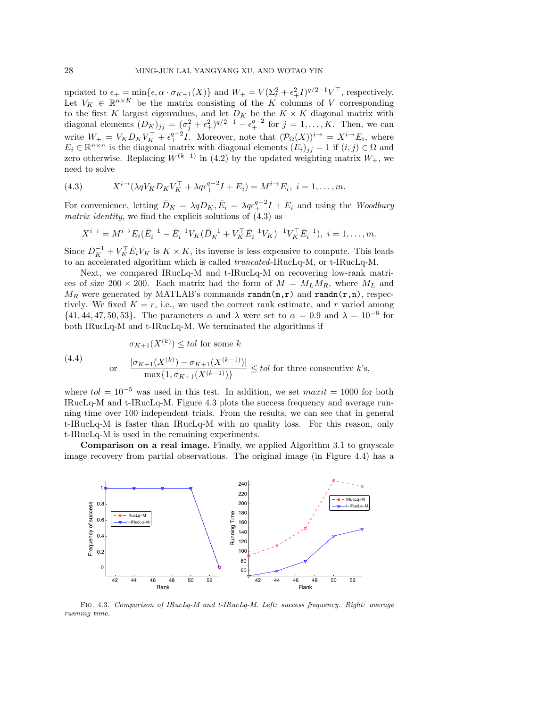updated to  $\epsilon_+ = \min{\{\epsilon, \alpha \cdot \sigma_{K+1}(X)\}}$  and  $W_+ = V(\Sigma_t^2 + \epsilon_+^2 I)^{q/2-1} V^\top$ , respectively. Let  $V_K \in \mathbb{R}^{n \times K}$  be the matrix consisting of the K columns of V corresponding to the first K largest eigenvalues, and let  $D_K$  be the  $K \times K$  diagonal matrix with diagonal elements  $(D_K)_{jj} = (\sigma_j^2 + \epsilon_+^2)^{q/2-1} - \epsilon_+^{q-2}$  for  $j = 1, \ldots, K$ . Then, we can write  $W_+ = V_K D_K V_K^{\top} + \epsilon_+^{q-2} I$ . Moreover, note that  $(\mathcal{P}_{\Omega}(X))^{i \to} = X^{i \to} E_i$ , where  $E_i \in \mathbb{R}^{n \times n}$  is the diagonal matrix with diagonal elements  $(E_i)_{ij} = 1$  if  $(i, j) \in \Omega$  and zero otherwise. Replacing  $W^{(k-1)}$  in (4.2) by the updated weighting matrix  $W_{+}$ , we need to solve

(4.3) 
$$
X^{i\to}(\lambda q V_K D_K V_K^\top + \lambda q \epsilon_+^{q-2} I + E_i) = M^{i\to} E_i, \ i = 1, \dots, m.
$$

For convenience, letting  $\bar{D}_K = \lambda q D_K$ ,  $\bar{E}_i = \lambda q \epsilon_+^{q-2} I + E_i$  and using the *Woodbury matrix identity*, we find the explicit solutions of (4.3) as

$$
X^{i\to} = M^{i\to} E_i(\bar{E}_i^{-1} - \bar{E}_i^{-1} V_K(\bar{D}_K^{-1} + V_K^{\top} \bar{E}_i^{-1} V_K)^{-1} V_K^{\top} \bar{E}_i^{-1}), \ i = 1, \dots, m.
$$

Since  $\bar{D}_K^{-1} + V_K^{\top} \bar{E}_i V_K$  is  $K \times K$ , its inverse is less expensive to compute. This leads to an accelerated algorithm which is called *truncated*-IRucLq-M, or t-IRucLq-M.

Next, we compared IRucLq-M and t-IRucLq-M on recovering low-rank matrices of size 200 × 200. Each matrix had the form of  $M = M_L M_R$ , where  $M_L$  and  $M_R$  were generated by MATLAB's commands randn(m,r) and randn(r,n), respectively. We fixed  $K = r$ , i.e., we used the correct rank estimate, and r varied among  $\{41, 44, 47, 50, 53\}$ . The parameters  $\alpha$  and  $\lambda$  were set to  $\alpha = 0.9$  and  $\lambda = 10^{-6}$  for both IRucLq-M and t-IRucLq-M. We terminated the algorithms if

(4.4) 
$$
\sigma_{K+1}(X^{(k)}) \leq tol \text{ for some } k
$$

$$
\text{or} \quad \frac{|\sigma_{K+1}(X^{(k)}) - \sigma_{K+1}(X^{(k-1)})|}{\max\{1, \sigma_{K+1}(X^{(k-1)})\}} \leq tol \text{ for three consecutive } k\text{'s},
$$

where  $tol = 10^{-5}$  was used in this test. In addition, we set  $maxit = 1000$  for both IRucLq-M and t-IRucLq-M. Figure 4.3 plots the success frequency and average running time over 100 independent trials. From the results, we can see that in general t-IRucLq-M is faster than IRucLq-M with no quality loss. For this reason, only t-IRucLq-M is used in the remaining experiments.

**Comparison on a real image.** Finally, we applied Algorithm 3.1 to grayscale image recovery from partial observations. The original image (in Figure 4.4) has a



Fig. 4.3. Comparison of IRucLq-M and t-IRucLq-M. Left: success frequency. Right: average running time.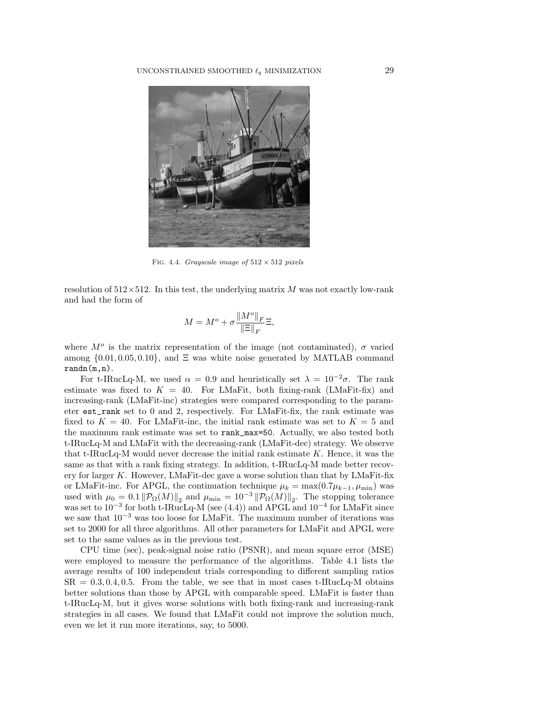

FIG. 4.4. Grayscale image of  $512 \times 512$  pixels

resolution of  $512\times512$ . In this test, the underlying matrix M was not exactly low-rank and had the form of

$$
M = M^o + \sigma \frac{\|M^o\|_F}{\|\Xi\|_F} \Xi,
$$

where  $M^{\circ}$  is the matrix representation of the image (not contaminated),  $\sigma$  varied among  $\{0.01, 0.05, 0.10\}$ , and  $\Xi$  was white noise generated by MATLAB command randn(m,n).

For t-IRucLq-M, we used  $\alpha = 0.9$  and heuristically set  $\lambda = 10^{-2}\sigma$ . The rank estimate was fixed to  $K = 40$ . For LMaFit, both fixing-rank (LMaFit-fix) and increasing-rank (LMaFit-inc) strategies were compared corresponding to the parameter est\_rank set to 0 and 2, respectively. For LMaFit-fix, the rank estimate was fixed to  $K = 40$ . For LMaFit-inc, the initial rank estimate was set to  $K = 5$  and the maximum rank estimate was set to rank\_max=50. Actually, we also tested both t-IRucLq-M and LMaFit with the decreasing-rank (LMaFit-dec) strategy. We observe that t-IRucLq-M would never decrease the initial rank estimate  $K$ . Hence, it was the same as that with a rank fixing strategy. In addition, t-IRucLq-M made better recovery for larger  $K$ . However, LMaFit-dec gave a worse solution than that by LMaFit-fix or LMaFit-inc. For APGL, the continuation technique  $\mu_k = \max(0.7\mu_{k-1}, \mu_{\min})$  was used with  $\mu_0 = 0.1 \|\mathcal{P}_{\Omega}(M)\|_2$  and  $\mu_{\min} = 10^{-3} \|\mathcal{P}_{\Omega}(M)\|_2$ . The stopping tolerance was set to  $10^{-3}$  for both t-IRucLq-M (see (4.4)) and APGL and  $10^{-4}$  for LMaFit since we saw that 10−<sup>3</sup> was too loose for LMaFit. The maximum number of iterations was set to 2000 for all three algorithms. All other parameters for LMaFit and APGL were set to the same values as in the previous test.

CPU time (sec), peak-signal noise ratio (PSNR), and mean square error (MSE) were employed to measure the performance of the algorithms. Table 4.1 lists the average results of 100 independent trials corresponding to different sampling ratios  $SR = 0.3, 0.4, 0.5$ . From the table, we see that in most cases t-IRucLq-M obtains better solutions than those by APGL with comparable speed. LMaFit is faster than t-IRucLq-M, but it gives worse solutions with both fixing-rank and increasing-rank strategies in all cases. We found that LMaFit could not improve the solution much, even we let it run more iterations, say, to 5000.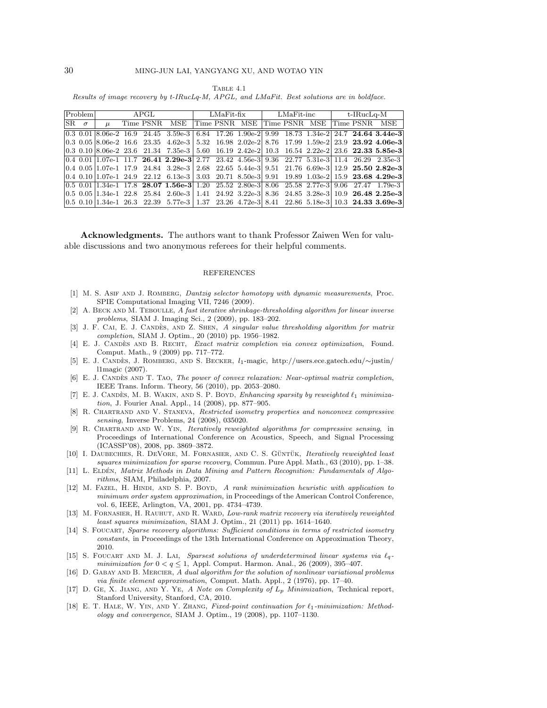Table 4.1 Results of image recovery by t-IRucLq-M, APGL, and LMaFit. Best solutions are in boldface.

| $P_{\text{roblem}}$      |  | APGL  |  |  |                                                                                                                               | $LMaFit$ -fix |  |                                           | $LMaFit$ -inc $t$ -IRucLq-M |  |  |  |  |  |
|--------------------------|--|-------|--|--|-------------------------------------------------------------------------------------------------------------------------------|---------------|--|-------------------------------------------|-----------------------------|--|--|--|--|--|
| $ {\rm SR} \quad \sigma$ |  | $\mu$ |  |  | Time PSNR MSE                                                                                                                 |               |  | Time PSNR MSE Time PSNR MSE Time PSNR MSE |                             |  |  |  |  |  |
|                          |  |       |  |  | $(0.3, 0.01, 8.06e-2, 16.9, 24.45, 3.59e-3, 6.84, 17.26, 1.90e-2, 9.99, 18.73, 1.34e-2, 24.7, 24.64, 3.44e-3$                 |               |  |                                           |                             |  |  |  |  |  |
|                          |  |       |  |  | $(0.3, 0.05)8.06e-2$ 16.6 23.35 4.62e-3 5.32 16.98 2.02e-2 8.76 17.99 1.59e-2 23.9 23.92 4.06e-3                              |               |  |                                           |                             |  |  |  |  |  |
|                          |  |       |  |  | $(0.3 \t0.10 \t\t8.06e-2 \t23.6 \t21.34 \t7.35e-3 \t5.60 \t16.19 \t2.42e-2 \t10.3 \t16.54 \t2.22e-2 \t23.6 \t22.33 \t5.85e-3$ |               |  |                                           |                             |  |  |  |  |  |
|                          |  |       |  |  |                                                                                                                               |               |  |                                           |                             |  |  |  |  |  |
|                          |  |       |  |  |                                                                                                                               |               |  |                                           |                             |  |  |  |  |  |
|                          |  |       |  |  | $(0.4 \ 0.10 \ 1.07$ e-1 24.9 22.12 6.13e-3 3.03 20.71 8.50e-3 9.91 19.89 1.03e-2 15.9 23.68 4.29e-3                          |               |  |                                           |                             |  |  |  |  |  |
|                          |  |       |  |  |                                                                                                                               |               |  |                                           |                             |  |  |  |  |  |
|                          |  |       |  |  | $(0.5, 0.05)$ 1.34e-1 22.8 25.84 2.60e-3   1.41 24.92 3.22e-3   8.36 24.85 3.28e-3   10.9 26.48 2.25e-3                       |               |  |                                           |                             |  |  |  |  |  |
|                          |  |       |  |  | $(0.5 \t0.10 \t1.34e-1 \t26.3 \t22.39 \t5.77e-3 \t1.37 \t23.26 \t4.72e-3 \t8.41 \t22.86 \t5.18e-3 \t10.3 \t24.33 \t3.69e-3$   |               |  |                                           |                             |  |  |  |  |  |

**Acknowledgments.** The authors want to thank Professor Zaiwen Wen for valuable discussions and two anonymous referees for their helpful comments.

## REFERENCES

- [1] M. S. ASIF AND J. ROMBERG, *Dantzig selector homotopy with dynamic measurements*, Proc. SPIE Computational Imaging VII, 7246 (2009).
- [2] A. BECK AND M. TEBOULLE, A fast iterative shrinkage-thresholding algorithm for linear inverse problems, SIAM J. Imaging Sci., 2 (2009), pp. 183–202.
- [3] J. F. CAI, E. J. CANDÈS, AND Z. SHEN, A singular value thresholding algorithm for matrix completion, SIAM J. Optim., 20 (2010) pp. 1956–1982.
- [4] E. J. CANDÈS AND B. RECHT, Exact matrix completion via convex optimization, Found. Comput. Math., 9 (2009) pp. 717–772.
- [5] E. J. Candes, J. Romberg, and S. Becker ` , <sup>l</sup>1-magic, http://users.ece.gatech.edu/∼justin/ l1magic (2007).
- [6] E. J. CANDÈS AND T. TAO, The power of convex relaxation: Near-optimal matrix completion, IEEE Trans. Inform. Theory, 56 (2010), pp. 2053–2080.
- [7] E. J. CANDÈS, M. B. WAKIN, AND S. P. BOYD, *Enhancing sparsity by reweighted*  $\ell_1$  minimization, J. Fourier Anal. Appl., 14 (2008), pp. 877–905.
- [8] R. Chartrand and V. Staneva, Restricted isometry properties and nonconvex compressive sensing, Inverse Problems, 24 (2008), 035020.
- [9] R. Chartrand and W. Yin, Iteratively reweighted algorithms for compressive sensing, in Proceedings of International Conference on Acoustics, Speech, and Signal Processing (ICASSP'08), 2008, pp. 3869–3872.
- [10] I. DAUBECHIES, R. DEVORE, M. FORNASIER, AND C. S. GÜNTÜK, Iteratively reweighted least squares minimization for sparse recovery, Commun. Pure Appl. Math., 63 (2010), pp. 1–38.
- [11] L. ELDÉN, Matrix Methods in Data Mining and Pattern Recognition: Fundamentals of Algorithms, SIAM, Philadelphia, 2007.
- [12] M. FAZEL, H. HINDI, AND S. P. BOYD, A rank minimization heuristic with application to minimum order system approximation, in Proceedings of the American Control Conference, vol. 6, IEEE, Arlington, VA, 2001, pp. 4734–4739.
- [13] M. FORNASIER, H. RAUHUT, AND R. WARD, Low-rank matrix recovery via iteratively reweighted least squares minimization, SIAM J. Optim., 21 (2011) pp. 1614–1640.
- [14] S. FOUCART, Sparse recovery algorithms: Sufficient conditions in terms of restricted isometry constants, in Proceedings of the 13th International Conference on Approximation Theory, 2010.
- [15] S. FOUCART AND M. J. LAI, Sparsest solutions of underdetermined linear systems via  $\ell_q$ minimization for  $0 < q \le 1$ , Appl. Comput. Harmon. Anal., 26 (2009), 395-407.
- [16] D. GABAY AND B. MERCIER, A dual algorithm for the solution of nonlinear variational problems via finite element approximation, Comput. Math. Appl., 2 (1976), pp. 17–40.
- [17] D. Ge, X. Jiang, and Y. Ye, A Note on Complexity of L*<sup>p</sup>* Minimization, Technical report, Stanford University, Stanford, CA, 2010.
- [18] E. T. HALE, W. YIN, AND Y. ZHANG, Fixed-point continuation for  $\ell_1$ -minimization: Methodology and convergence, SIAM J. Optim., 19 (2008), pp. 1107–1130.